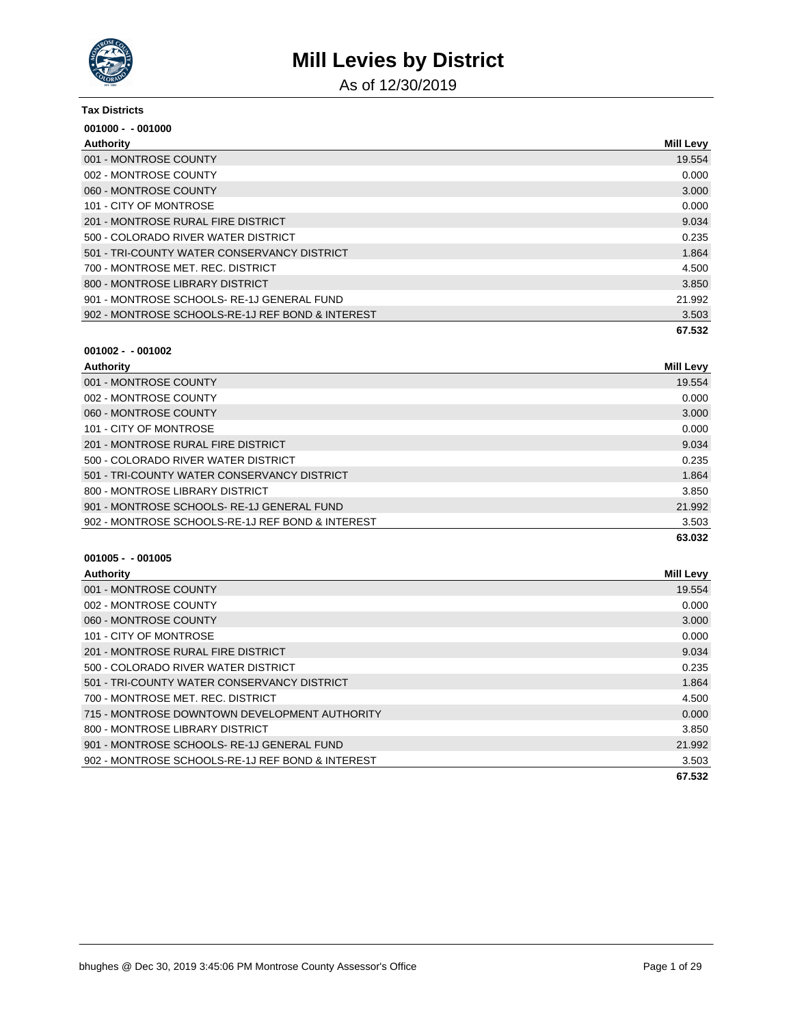

As of 12/30/2019

#### **Tax Districts**

| $001000 - 001000$                                |                  |
|--------------------------------------------------|------------------|
| Authority                                        | <b>Mill Levy</b> |
| 001 - MONTROSE COUNTY                            | 19.554           |
| 002 - MONTROSE COUNTY                            | 0.000            |
| 060 - MONTROSE COUNTY                            | 3.000            |
| 101 - CITY OF MONTROSE                           | 0.000            |
| 201 - MONTROSE RURAL FIRE DISTRICT               | 9.034            |
| 500 - COLORADO RIVER WATER DISTRICT              | 0.235            |
| 501 - TRI-COUNTY WATER CONSERVANCY DISTRICT      | 1.864            |
| 700 - MONTROSE MET. REC. DISTRICT                | 4.500            |
| 800 - MONTROSE LIBRARY DISTRICT                  | 3.850            |
| 901 - MONTROSE SCHOOLS-RE-1J GENERAL FUND        | 21.992           |
| 902 - MONTROSE SCHOOLS-RE-1J REF BOND & INTEREST | 3.503            |
|                                                  | 67.532           |

### **001002 - - 001002**

| Authority                                        | Mill Levy |
|--------------------------------------------------|-----------|
| 001 - MONTROSE COUNTY                            | 19.554    |
| 002 - MONTROSE COUNTY                            | 0.000     |
| 060 - MONTROSE COUNTY                            | 3.000     |
| 101 - CITY OF MONTROSE                           | 0.000     |
| 201 - MONTROSE RURAL FIRE DISTRICT               | 9.034     |
| 500 - COLORADO RIVER WATER DISTRICT              | 0.235     |
| 501 - TRI-COUNTY WATER CONSERVANCY DISTRICT      | 1.864     |
| 800 - MONTROSE LIBRARY DISTRICT                  | 3.850     |
| 901 - MONTROSE SCHOOLS-RE-1J GENERAL FUND        | 21.992    |
| 902 - MONTROSE SCHOOLS-RE-1J REF BOND & INTEREST | 3.503     |
|                                                  | 63.032    |

| Authority                                        | <b>Mill Levy</b> |
|--------------------------------------------------|------------------|
| 001 - MONTROSE COUNTY                            | 19.554           |
| 002 - MONTROSE COUNTY                            | 0.000            |
| 060 - MONTROSE COUNTY                            | 3.000            |
| 101 - CITY OF MONTROSE                           | 0.000            |
| 201 - MONTROSE RURAL FIRE DISTRICT               | 9.034            |
| 500 - COLORADO RIVER WATER DISTRICT              | 0.235            |
| 501 - TRI-COUNTY WATER CONSERVANCY DISTRICT      | 1.864            |
| 700 - MONTROSE MET. REC. DISTRICT                | 4.500            |
| 715 - MONTROSE DOWNTOWN DEVELOPMENT AUTHORITY    | 0.000            |
| 800 - MONTROSE LIBRARY DISTRICT                  | 3.850            |
| 901 - MONTROSE SCHOOLS-RE-1J GENERAL FUND        | 21.992           |
| 902 - MONTROSE SCHOOLS-RE-1J REF BOND & INTEREST | 3.503            |
|                                                  | 67.532           |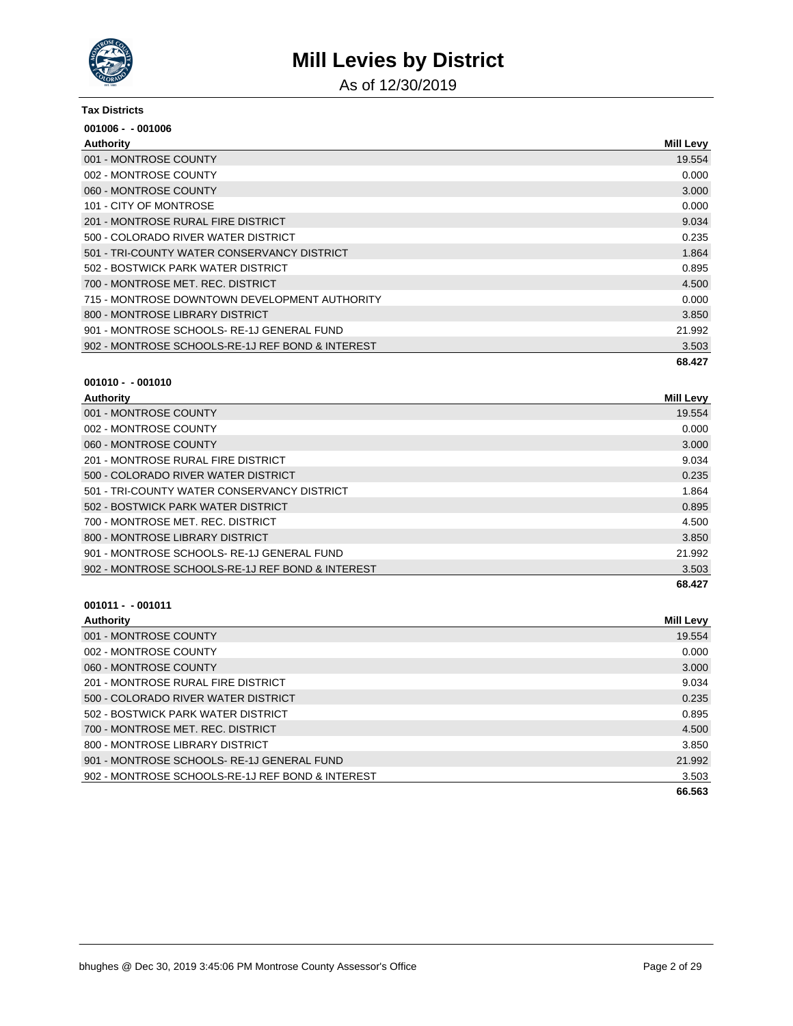

As of 12/30/2019

#### **Tax Districts**

| $001006 - 001006$                                |                  |
|--------------------------------------------------|------------------|
| Authority                                        | <b>Mill Levy</b> |
| 001 - MONTROSE COUNTY                            | 19.554           |
| 002 - MONTROSE COUNTY                            | 0.000            |
| 060 - MONTROSE COUNTY                            | 3.000            |
| 101 - CITY OF MONTROSE                           | 0.000            |
| 201 - MONTROSE RURAL FIRE DISTRICT               | 9.034            |
| 500 - COLORADO RIVER WATER DISTRICT              | 0.235            |
| 501 - TRI-COUNTY WATER CONSERVANCY DISTRICT      | 1.864            |
| 502 - BOSTWICK PARK WATER DISTRICT               | 0.895            |
| 700 - MONTROSE MET. REC. DISTRICT                | 4.500            |
| 715 - MONTROSE DOWNTOWN DEVELOPMENT AUTHORITY    | 0.000            |
| 800 - MONTROSE LIBRARY DISTRICT                  | 3.850            |
| 901 - MONTROSE SCHOOLS-RE-1J GENERAL FUND        | 21.992           |
| 902 - MONTROSE SCHOOLS-RE-1J REF BOND & INTEREST | 3.503            |
|                                                  | 68.427           |

### **001010 - - 001010**

| Authority                                        | <b>Mill Levy</b> |
|--------------------------------------------------|------------------|
| 001 - MONTROSE COUNTY                            | 19.554           |
| 002 - MONTROSE COUNTY                            | 0.000            |
| 060 - MONTROSE COUNTY                            | 3.000            |
| 201 - MONTROSE RURAL FIRE DISTRICT               | 9.034            |
| 500 - COLORADO RIVER WATER DISTRICT              | 0.235            |
| 501 - TRI-COUNTY WATER CONSERVANCY DISTRICT      | 1.864            |
| 502 - BOSTWICK PARK WATER DISTRICT               | 0.895            |
| 700 - MONTROSE MET. REC. DISTRICT                | 4.500            |
| 800 - MONTROSE LIBRARY DISTRICT                  | 3.850            |
| 901 - MONTROSE SCHOOLS-RE-1J GENERAL FUND        | 21.992           |
| 902 - MONTROSE SCHOOLS-RE-1J REF BOND & INTEREST | 3.503            |
|                                                  | 68.427           |

| <b>Authority</b>                                 | Mill Levy |
|--------------------------------------------------|-----------|
| 001 - MONTROSE COUNTY                            | 19.554    |
| 002 - MONTROSE COUNTY                            | 0.000     |
| 060 - MONTROSE COUNTY                            | 3.000     |
| 201 - MONTROSE RURAL FIRE DISTRICT               | 9.034     |
| 500 - COLORADO RIVER WATER DISTRICT              | 0.235     |
| 502 - BOSTWICK PARK WATER DISTRICT               | 0.895     |
| 700 - MONTROSE MET. REC. DISTRICT                | 4.500     |
| 800 - MONTROSE LIBRARY DISTRICT                  | 3.850     |
| 901 - MONTROSE SCHOOLS-RE-1J GENERAL FUND        | 21.992    |
| 902 - MONTROSE SCHOOLS-RE-1J REF BOND & INTEREST | 3.503     |
|                                                  | 66.563    |
|                                                  |           |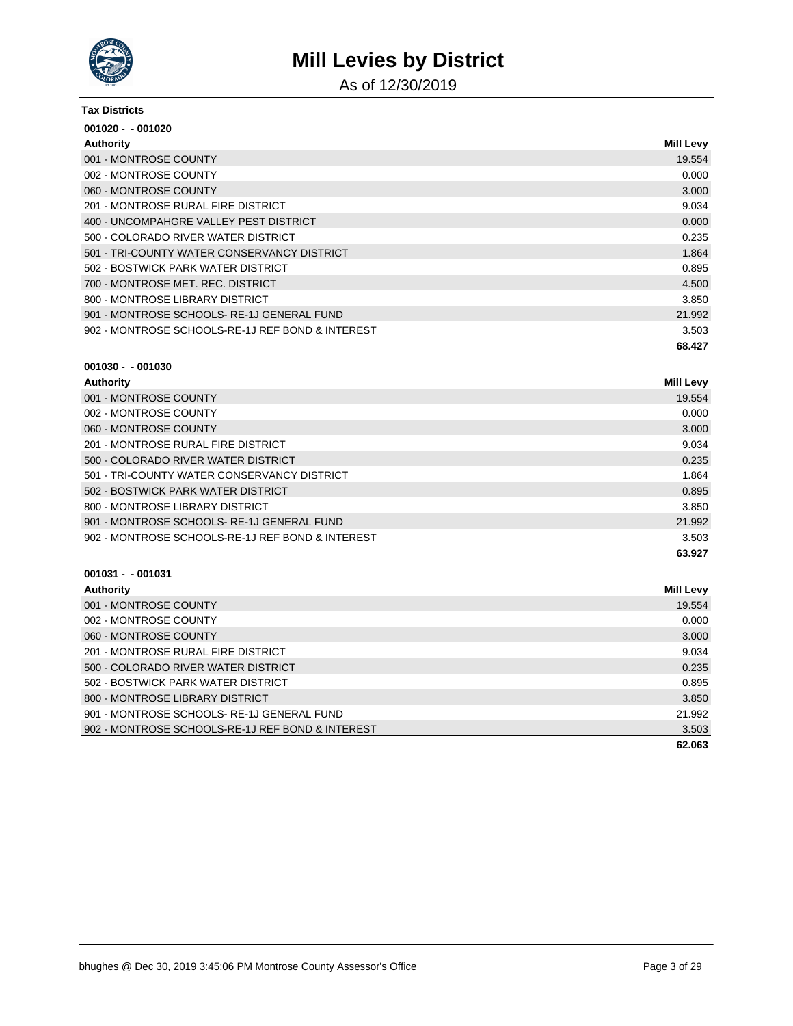

As of 12/30/2019

#### **Tax Districts**

| $001020 - 001020$                                |                  |
|--------------------------------------------------|------------------|
| Authority                                        | <b>Mill Levy</b> |
| 001 - MONTROSE COUNTY                            | 19.554           |
| 002 - MONTROSE COUNTY                            | 0.000            |
| 060 - MONTROSE COUNTY                            | 3.000            |
| 201 - MONTROSE RURAL FIRE DISTRICT               | 9.034            |
| 400 - UNCOMPAHGRE VALLEY PEST DISTRICT           | 0.000            |
| 500 - COLORADO RIVER WATER DISTRICT              | 0.235            |
| 501 - TRI-COUNTY WATER CONSERVANCY DISTRICT      | 1.864            |
| 502 - BOSTWICK PARK WATER DISTRICT               | 0.895            |
| 700 - MONTROSE MET. REC. DISTRICT                | 4.500            |
| 800 - MONTROSE LIBRARY DISTRICT                  | 3.850            |
| 901 - MONTROSE SCHOOLS-RE-1J GENERAL FUND        | 21.992           |
| 902 - MONTROSE SCHOOLS-RE-1J REF BOND & INTEREST | 3.503            |
|                                                  | 68.427           |

#### **001030 - - 001030**

| <b>Authority</b>                                 | Mill Levy |
|--------------------------------------------------|-----------|
| 001 - MONTROSE COUNTY                            | 19.554    |
| 002 - MONTROSE COUNTY                            | 0.000     |
| 060 - MONTROSE COUNTY                            | 3.000     |
| 201 - MONTROSE RURAL FIRE DISTRICT               | 9.034     |
| 500 - COLORADO RIVER WATER DISTRICT              | 0.235     |
| 501 - TRI-COUNTY WATER CONSERVANCY DISTRICT      | 1.864     |
| 502 - BOSTWICK PARK WATER DISTRICT               | 0.895     |
| 800 - MONTROSE LIBRARY DISTRICT                  | 3.850     |
| 901 - MONTROSE SCHOOLS-RE-1J GENERAL FUND        | 21.992    |
| 902 - MONTROSE SCHOOLS-RE-1J REF BOND & INTEREST | 3.503     |
|                                                  | 63.927    |

| Authority                                        | Mill Levy |
|--------------------------------------------------|-----------|
| 001 - MONTROSE COUNTY                            | 19.554    |
| 002 - MONTROSE COUNTY                            | 0.000     |
| 060 - MONTROSE COUNTY                            | 3.000     |
| 201 - MONTROSE RURAL FIRE DISTRICT               | 9.034     |
| 500 - COLORADO RIVER WATER DISTRICT              | 0.235     |
| 502 - BOSTWICK PARK WATER DISTRICT               | 0.895     |
| 800 - MONTROSE LIBRARY DISTRICT                  | 3.850     |
| 901 - MONTROSE SCHOOLS-RE-1J GENERAL FUND        | 21.992    |
| 902 - MONTROSE SCHOOLS-RE-1J REF BOND & INTEREST | 3.503     |
|                                                  | 62.063    |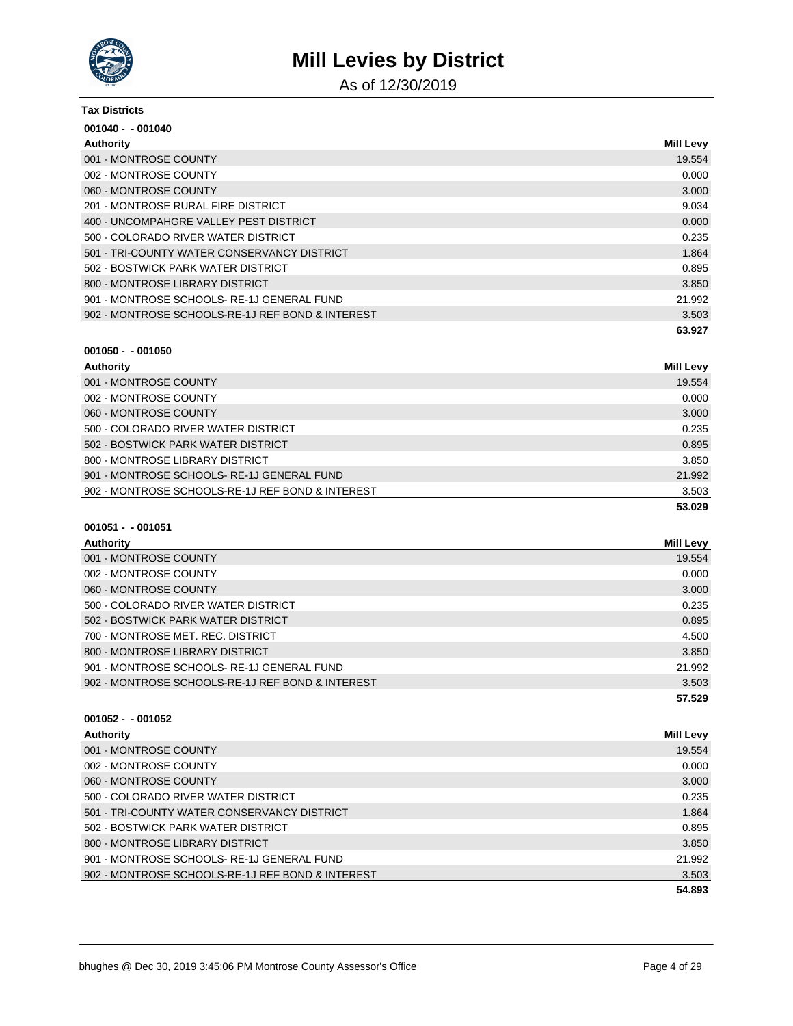

As of 12/30/2019

#### **Tax Districts**

| $001040 - 001040$                                |                  |
|--------------------------------------------------|------------------|
| Authority                                        | <b>Mill Levy</b> |
| 001 - MONTROSE COUNTY                            | 19.554           |
| 002 - MONTROSE COUNTY                            | 0.000            |
| 060 - MONTROSE COUNTY                            | 3.000            |
| 201 - MONTROSE RURAL FIRE DISTRICT               | 9.034            |
| 400 - UNCOMPAHGRE VALLEY PEST DISTRICT           | 0.000            |
| 500 - COLORADO RIVER WATER DISTRICT              | 0.235            |
| 501 - TRI-COUNTY WATER CONSERVANCY DISTRICT      | 1.864            |
| 502 - BOSTWICK PARK WATER DISTRICT               | 0.895            |
| 800 - MONTROSE LIBRARY DISTRICT                  | 3.850            |
| 901 - MONTROSE SCHOOLS-RE-1J GENERAL FUND        | 21.992           |
| 902 - MONTROSE SCHOOLS-RE-1J REF BOND & INTEREST | 3.503            |
|                                                  | 63.927           |

### **001050 - - 001050**

| Authority                                        | <b>Mill Levy</b> |
|--------------------------------------------------|------------------|
| 001 - MONTROSE COUNTY                            | 19.554           |
| 002 - MONTROSE COUNTY                            | 0.000            |
| 060 - MONTROSE COUNTY                            | 3.000            |
| 500 - COLORADO RIVER WATER DISTRICT              | 0.235            |
| 502 - BOSTWICK PARK WATER DISTRICT               | 0.895            |
| 800 - MONTROSE LIBRARY DISTRICT                  | 3.850            |
| 901 - MONTROSE SCHOOLS-RE-1J GENERAL FUND        | 21.992           |
| 902 - MONTROSE SCHOOLS-RE-1J REF BOND & INTEREST | 3.503            |
|                                                  | 53.029           |

### **001051 - - 001051**

| Mill Levy |
|-----------|
| 19.554    |
| 0.000     |
| 3.000     |
| 0.235     |
| 0.895     |
| 4.500     |
| 3.850     |
| 21.992    |
| 3.503     |
| 57.529    |
|           |

| Authority                                        | Mill Levy |
|--------------------------------------------------|-----------|
| 001 - MONTROSE COUNTY                            | 19.554    |
| 002 - MONTROSE COUNTY                            | 0.000     |
| 060 - MONTROSE COUNTY                            | 3.000     |
| 500 - COLORADO RIVER WATER DISTRICT              | 0.235     |
| 501 - TRI-COUNTY WATER CONSERVANCY DISTRICT      | 1.864     |
| 502 - BOSTWICK PARK WATER DISTRICT               | 0.895     |
| 800 - MONTROSE LIBRARY DISTRICT                  | 3.850     |
| 901 - MONTROSE SCHOOLS-RE-1J GENERAL FUND        | 21.992    |
| 902 - MONTROSE SCHOOLS-RE-1J REF BOND & INTEREST | 3.503     |
|                                                  | 54.893    |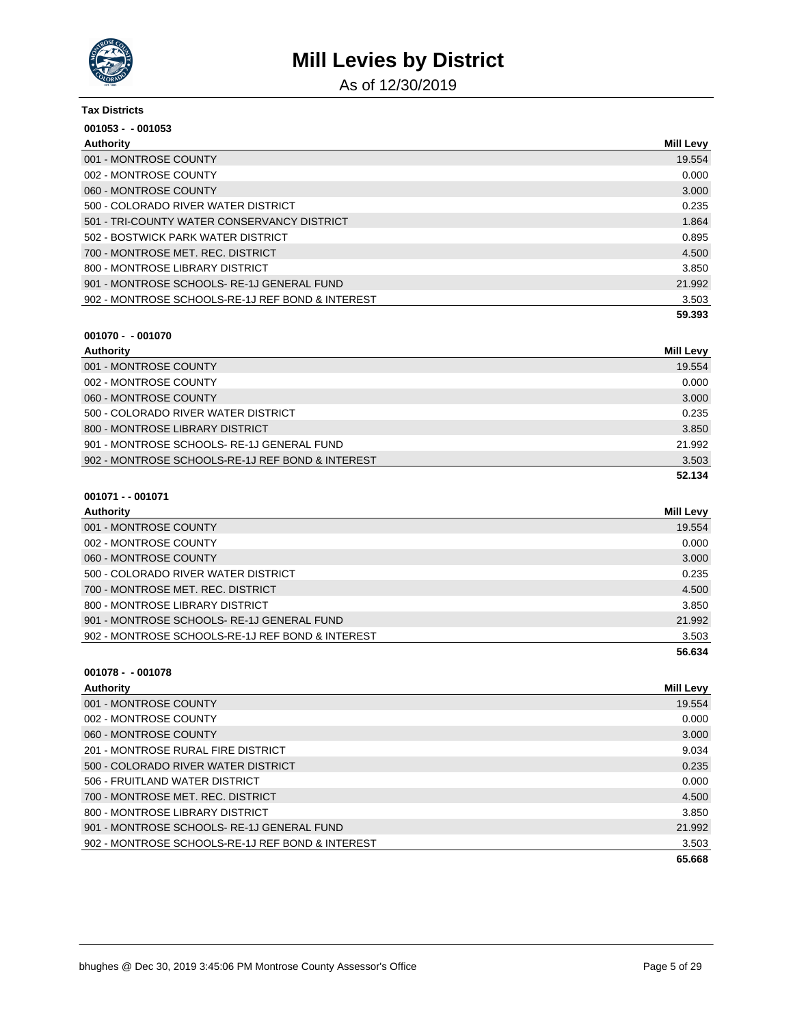

As of 12/30/2019

| <b>Tax Districts</b>                             |                  |
|--------------------------------------------------|------------------|
| $001053 - 001053$                                |                  |
| Authority                                        | <b>Mill Levy</b> |
| 001 - MONTROSE COUNTY                            | 19.554           |
| 002 - MONTROSE COUNTY                            | 0.000            |
| 060 - MONTROSE COUNTY                            | 3.000            |
| 500 - COLORADO RIVER WATER DISTRICT              | 0.235            |
| 501 - TRI-COUNTY WATER CONSERVANCY DISTRICT      | 1.864            |
| 502 - BOSTWICK PARK WATER DISTRICT               | 0.895            |
| 700 - MONTROSE MET. REC. DISTRICT                | 4.500            |
| 800 - MONTROSE LIBRARY DISTRICT                  | 3.850            |
| 901 - MONTROSE SCHOOLS-RE-1J GENERAL FUND        | 21.992           |
| 902 - MONTROSE SCHOOLS-RE-1J REF BOND & INTEREST | 3.503            |
|                                                  | 59.393           |

### **001070 - - 001070**

| Authority                                        | Mill Levy |
|--------------------------------------------------|-----------|
| 001 - MONTROSE COUNTY                            | 19.554    |
| 002 - MONTROSE COUNTY                            | 0.000     |
| 060 - MONTROSE COUNTY                            | 3.000     |
| 500 - COLORADO RIVER WATER DISTRICT              | 0.235     |
| 800 - MONTROSE LIBRARY DISTRICT                  | 3.850     |
| 901 - MONTROSE SCHOOLS-RE-1J GENERAL FUND        | 21.992    |
| 902 - MONTROSE SCHOOLS-RE-1J REF BOND & INTEREST | 3.503     |
|                                                  | 52.134    |

### **001071 - - 001071**

| Authority                                        | Mill Levy |
|--------------------------------------------------|-----------|
| 001 - MONTROSE COUNTY                            | 19.554    |
| 002 - MONTROSE COUNTY                            | 0.000     |
| 060 - MONTROSE COUNTY                            | 3.000     |
| 500 - COLORADO RIVER WATER DISTRICT              | 0.235     |
| 700 - MONTROSE MET. REC. DISTRICT                | 4.500     |
| 800 - MONTROSE LIBRARY DISTRICT                  | 3.850     |
| 901 - MONTROSE SCHOOLS-RE-1J GENERAL FUND        | 21.992    |
| 902 - MONTROSE SCHOOLS-RE-1J REF BOND & INTEREST | 3.503     |
|                                                  | 56.634    |

| <b>Authority</b>                                 | Mill Levy |
|--------------------------------------------------|-----------|
| 001 - MONTROSE COUNTY                            | 19.554    |
| 002 - MONTROSE COUNTY                            | 0.000     |
| 060 - MONTROSE COUNTY                            | 3.000     |
| 201 - MONTROSE RURAL FIRE DISTRICT               | 9.034     |
| 500 - COLORADO RIVER WATER DISTRICT              | 0.235     |
| 506 - FRUITLAND WATER DISTRICT                   | 0.000     |
| 700 - MONTROSE MET. REC. DISTRICT                | 4.500     |
| 800 - MONTROSE LIBRARY DISTRICT                  | 3.850     |
| 901 - MONTROSE SCHOOLS-RE-1J GENERAL FUND        | 21.992    |
| 902 - MONTROSE SCHOOLS-RE-1J REF BOND & INTEREST | 3.503     |
|                                                  | 65.668    |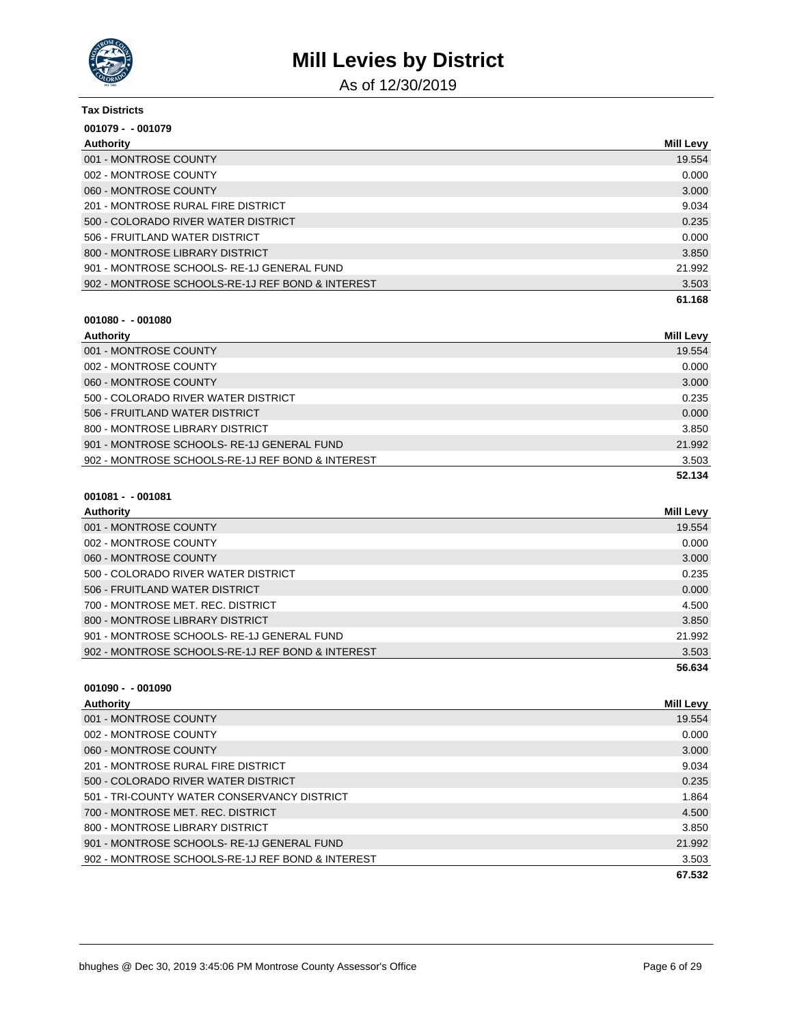

As of 12/30/2019

| <b>Tax Districts</b>                             |                  |
|--------------------------------------------------|------------------|
| $001079 - 001079$                                |                  |
| Authority                                        | <b>Mill Levy</b> |
| 001 - MONTROSE COUNTY                            | 19.554           |
| 002 - MONTROSE COUNTY                            | 0.000            |
| 060 - MONTROSE COUNTY                            | 3.000            |
| 201 - MONTROSE RURAL FIRE DISTRICT               | 9.034            |
| 500 - COLORADO RIVER WATER DISTRICT              | 0.235            |
| 506 - FRUITLAND WATER DISTRICT                   | 0.000            |
| 800 - MONTROSE LIBRARY DISTRICT                  | 3.850            |
| 901 - MONTROSE SCHOOLS-RE-1J GENERAL FUND        | 21.992           |
| 902 - MONTROSE SCHOOLS-RE-1J REF BOND & INTEREST | 3.503            |
|                                                  | 61.168           |

| 001080 - - 001080 |  |  |
|-------------------|--|--|
|                   |  |  |

| Authority                                        | <b>Mill Levy</b> |
|--------------------------------------------------|------------------|
| 001 - MONTROSE COUNTY                            | 19.554           |
| 002 - MONTROSE COUNTY                            | 0.000            |
| 060 - MONTROSE COUNTY                            | 3.000            |
| 500 - COLORADO RIVER WATER DISTRICT              | 0.235            |
| 506 - FRUITLAND WATER DISTRICT                   | 0.000            |
| 800 - MONTROSE LIBRARY DISTRICT                  | 3.850            |
| 901 - MONTROSE SCHOOLS-RE-1J GENERAL FUND        | 21.992           |
| 902 - MONTROSE SCHOOLS-RE-1J REF BOND & INTEREST | 3.503            |
|                                                  | 52.134           |

| $001081 - 001081$ |  |
|-------------------|--|
|-------------------|--|

| <b>Authority</b>                                 | Mill Levy |
|--------------------------------------------------|-----------|
| 001 - MONTROSE COUNTY                            | 19.554    |
| 002 - MONTROSE COUNTY                            | 0.000     |
| 060 - MONTROSE COUNTY                            | 3.000     |
| 500 - COLORADO RIVER WATER DISTRICT              | 0.235     |
| 506 - FRUITLAND WATER DISTRICT                   | 0.000     |
| 700 - MONTROSE MET. REC. DISTRICT                | 4.500     |
| 800 - MONTROSE LIBRARY DISTRICT                  | 3.850     |
| 901 - MONTROSE SCHOOLS-RE-1J GENERAL FUND        | 21.992    |
| 902 - MONTROSE SCHOOLS-RE-1J REF BOND & INTEREST | 3.503     |
|                                                  | 56.634    |

| $001090 - 001090$                                |                  |
|--------------------------------------------------|------------------|
| Authority                                        | <b>Mill Levy</b> |
| 001 - MONTROSE COUNTY                            | 19.554           |
| 002 - MONTROSE COUNTY                            | 0.000            |
| 060 - MONTROSE COUNTY                            | 3.000            |
| 201 - MONTROSE RURAL FIRE DISTRICT               | 9.034            |
| 500 - COLORADO RIVER WATER DISTRICT              | 0.235            |
| 501 - TRI-COUNTY WATER CONSERVANCY DISTRICT      | 1.864            |
| 700 - MONTROSE MET, REC. DISTRICT                | 4.500            |
| 800 - MONTROSE LIBRARY DISTRICT                  | 3.850            |
| 901 - MONTROSE SCHOOLS-RE-1J GENERAL FUND        | 21.992           |
| 902 - MONTROSE SCHOOLS-RE-1J REF BOND & INTEREST | 3.503            |
|                                                  | 67.532           |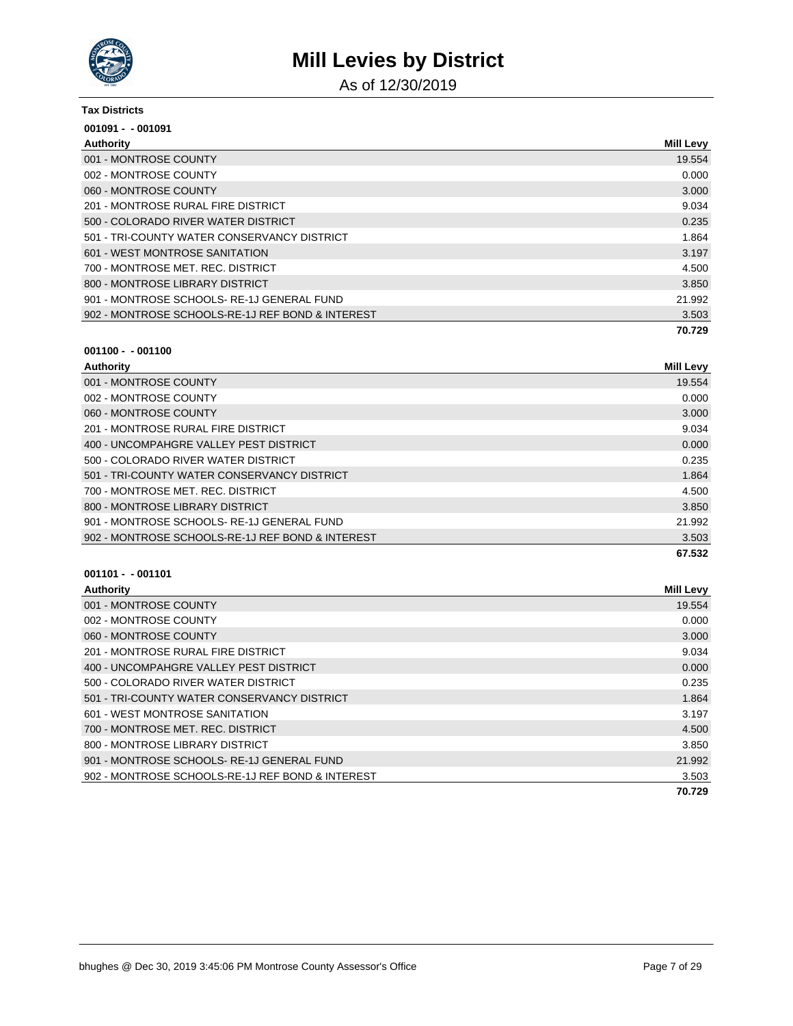

As of 12/30/2019

#### **Tax Districts**

| $001091 - 001091$                                |                  |
|--------------------------------------------------|------------------|
| Authority                                        | <b>Mill Levy</b> |
| 001 - MONTROSE COUNTY                            | 19.554           |
| 002 - MONTROSE COUNTY                            | 0.000            |
| 060 - MONTROSE COUNTY                            | 3.000            |
| 201 - MONTROSE RURAL FIRE DISTRICT               | 9.034            |
| 500 - COLORADO RIVER WATER DISTRICT              | 0.235            |
| 501 - TRI-COUNTY WATER CONSERVANCY DISTRICT      | 1.864            |
| 601 - WEST MONTROSE SANITATION                   | 3.197            |
| 700 - MONTROSE MET. REC. DISTRICT                | 4.500            |
| 800 - MONTROSE LIBRARY DISTRICT                  | 3.850            |
| 901 - MONTROSE SCHOOLS-RE-1J GENERAL FUND        | 21.992           |
| 902 - MONTROSE SCHOOLS-RE-1J REF BOND & INTEREST | 3.503            |
|                                                  | 70.729           |

### **001100 - - 001100**

| Authority                                        | <b>Mill Levy</b> |
|--------------------------------------------------|------------------|
| 001 - MONTROSE COUNTY                            | 19.554           |
| 002 - MONTROSE COUNTY                            | 0.000            |
| 060 - MONTROSE COUNTY                            | 3.000            |
| 201 - MONTROSE RURAL FIRE DISTRICT               | 9.034            |
| 400 - UNCOMPAHGRE VALLEY PEST DISTRICT           | 0.000            |
| 500 - COLORADO RIVER WATER DISTRICT              | 0.235            |
| 501 - TRI-COUNTY WATER CONSERVANCY DISTRICT      | 1.864            |
| 700 - MONTROSE MET. REC. DISTRICT                | 4.500            |
| 800 - MONTROSE LIBRARY DISTRICT                  | 3.850            |
| 901 - MONTROSE SCHOOLS-RE-1J GENERAL FUND        | 21.992           |
| 902 - MONTROSE SCHOOLS-RE-1J REF BOND & INTEREST | 3.503            |
|                                                  | 67.532           |

| Authority                                        | <b>Mill Levy</b> |
|--------------------------------------------------|------------------|
| 001 - MONTROSE COUNTY                            | 19.554           |
| 002 - MONTROSE COUNTY                            | 0.000            |
| 060 - MONTROSE COUNTY                            | 3.000            |
| 201 - MONTROSE RURAL FIRE DISTRICT               | 9.034            |
| 400 - UNCOMPAHGRE VALLEY PEST DISTRICT           | 0.000            |
| 500 - COLORADO RIVER WATER DISTRICT              | 0.235            |
| 501 - TRI-COUNTY WATER CONSERVANCY DISTRICT      | 1.864            |
| 601 - WEST MONTROSE SANITATION                   | 3.197            |
| 700 - MONTROSE MET, REC. DISTRICT                | 4.500            |
| 800 - MONTROSE LIBRARY DISTRICT                  | 3.850            |
| 901 - MONTROSE SCHOOLS-RE-1J GENERAL FUND        | 21.992           |
| 902 - MONTROSE SCHOOLS-RE-1J REF BOND & INTEREST | 3.503            |
|                                                  | 70.729           |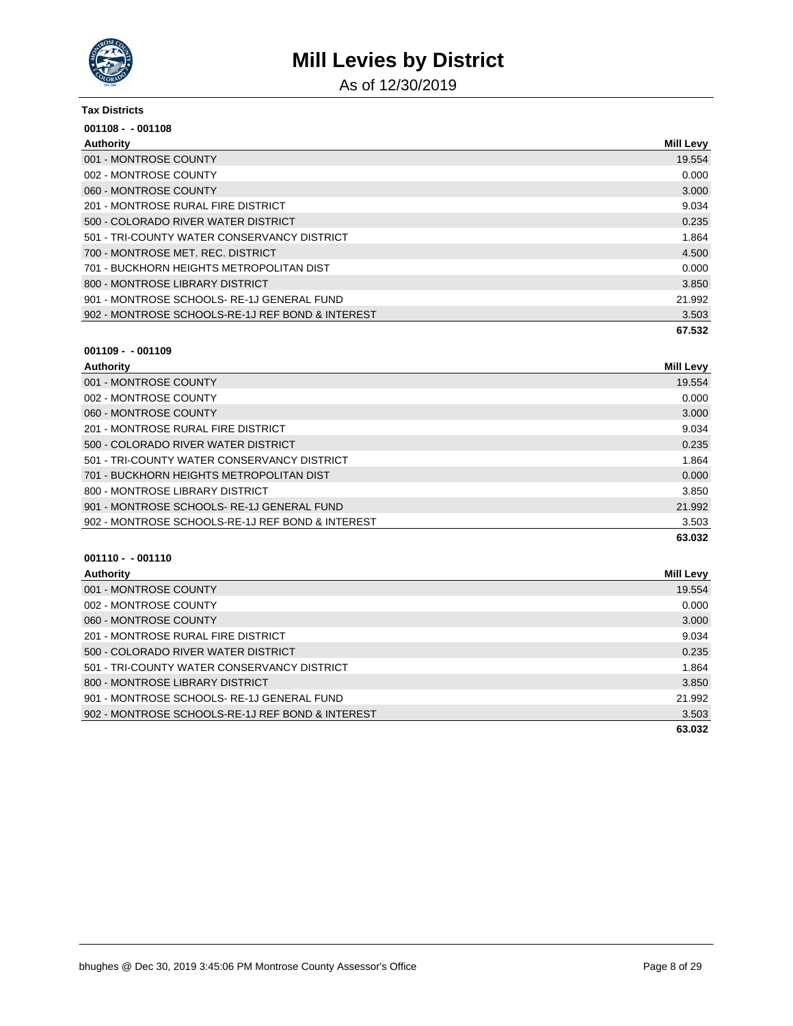

As of 12/30/2019

#### **Tax Districts**

| $001108 - 001108$                                |                  |
|--------------------------------------------------|------------------|
| Authority                                        | <b>Mill Levy</b> |
| 001 - MONTROSE COUNTY                            | 19.554           |
| 002 - MONTROSE COUNTY                            | 0.000            |
| 060 - MONTROSE COUNTY                            | 3.000            |
| 201 - MONTROSE RURAL FIRE DISTRICT               | 9.034            |
| 500 - COLORADO RIVER WATER DISTRICT              | 0.235            |
| 501 - TRI-COUNTY WATER CONSERVANCY DISTRICT      | 1.864            |
| 700 - MONTROSE MET. REC. DISTRICT                | 4.500            |
| 701 - BUCKHORN HEIGHTS METROPOLITAN DIST         | 0.000            |
| 800 - MONTROSE LIBRARY DISTRICT                  | 3.850            |
| 901 - MONTROSE SCHOOLS-RE-1J GENERAL FUND        | 21.992           |
| 902 - MONTROSE SCHOOLS-RE-1J REF BOND & INTEREST | 3.503            |
|                                                  | 67.532           |

### **001109 - - 001109**

| <b>Authority</b>                                 | <b>Mill Levy</b> |
|--------------------------------------------------|------------------|
| 001 - MONTROSE COUNTY                            | 19.554           |
| 002 - MONTROSE COUNTY                            | 0.000            |
| 060 - MONTROSE COUNTY                            | 3.000            |
| 201 - MONTROSE RURAL FIRE DISTRICT               | 9.034            |
| 500 - COLORADO RIVER WATER DISTRICT              | 0.235            |
| 501 - TRI-COUNTY WATER CONSERVANCY DISTRICT      | 1.864            |
| 701 - BUCKHORN HEIGHTS METROPOLITAN DIST         | 0.000            |
| 800 - MONTROSE LIBRARY DISTRICT                  | 3.850            |
| 901 - MONTROSE SCHOOLS-RE-1J GENERAL FUND        | 21.992           |
| 902 - MONTROSE SCHOOLS-RE-1J REF BOND & INTEREST | 3.503            |
|                                                  | 63.032           |

| Authority                                        | Mill Levy |
|--------------------------------------------------|-----------|
| 001 - MONTROSE COUNTY                            | 19.554    |
| 002 - MONTROSE COUNTY                            | 0.000     |
| 060 - MONTROSE COUNTY                            | 3.000     |
| 201 - MONTROSE RURAL FIRE DISTRICT               | 9.034     |
| 500 - COLORADO RIVER WATER DISTRICT              | 0.235     |
| 501 - TRI-COUNTY WATER CONSERVANCY DISTRICT      | 1.864     |
| 800 - MONTROSE LIBRARY DISTRICT                  | 3.850     |
| 901 - MONTROSE SCHOOLS-RE-1J GENERAL FUND        | 21.992    |
| 902 - MONTROSE SCHOOLS-RE-1J REF BOND & INTEREST | 3.503     |
|                                                  | 63.032    |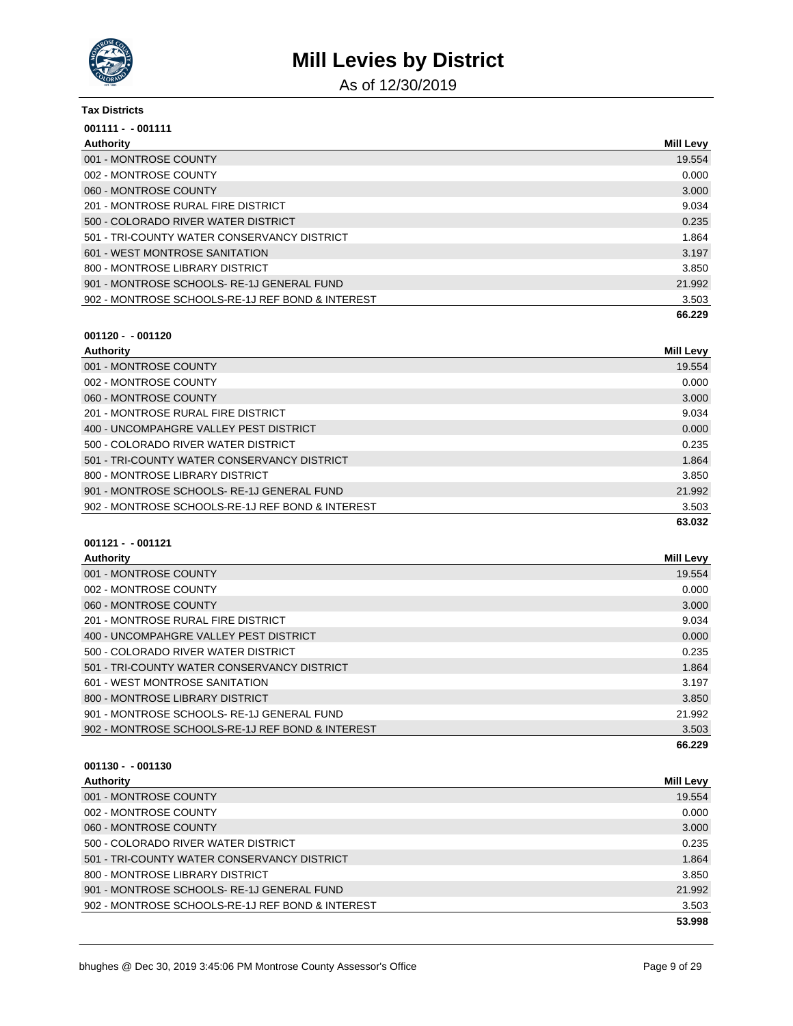

As of 12/30/2019

#### **Tax Districts**

| $001111 - 001111$                                |                  |
|--------------------------------------------------|------------------|
| Authority                                        | <b>Mill Levy</b> |
| 001 - MONTROSE COUNTY                            | 19.554           |
| 002 - MONTROSE COUNTY                            | 0.000            |
| 060 - MONTROSE COUNTY                            | 3.000            |
| 201 - MONTROSE RURAL FIRE DISTRICT               | 9.034            |
| 500 - COLORADO RIVER WATER DISTRICT              | 0.235            |
| 501 - TRI-COUNTY WATER CONSERVANCY DISTRICT      | 1.864            |
| 601 - WEST MONTROSE SANITATION                   | 3.197            |
| 800 - MONTROSE LIBRARY DISTRICT                  | 3.850            |
| 901 - MONTROSE SCHOOLS-RE-1J GENERAL FUND        | 21.992           |
| 902 - MONTROSE SCHOOLS-RE-1J REF BOND & INTEREST | 3.503            |
|                                                  | 66.229           |

### **001120 - - 001120**

| Authority                                        | <b>Mill Levy</b> |
|--------------------------------------------------|------------------|
| 001 - MONTROSE COUNTY                            | 19.554           |
| 002 - MONTROSE COUNTY                            | 0.000            |
| 060 - MONTROSE COUNTY                            | 3.000            |
| 201 - MONTROSE RURAL FIRE DISTRICT               | 9.034            |
| 400 - UNCOMPAHGRE VALLEY PEST DISTRICT           | 0.000            |
| 500 - COLORADO RIVER WATER DISTRICT              | 0.235            |
| 501 - TRI-COUNTY WATER CONSERVANCY DISTRICT      | 1.864            |
| 800 - MONTROSE LIBRARY DISTRICT                  | 3.850            |
| 901 - MONTROSE SCHOOLS-RE-1J GENERAL FUND        | 21.992           |
| 902 - MONTROSE SCHOOLS-RE-1J REF BOND & INTEREST | 3.503            |
|                                                  | 63.032           |

# **001121 - - 001121**

| Authority                                        | <b>Mill Levy</b> |
|--------------------------------------------------|------------------|
| 001 - MONTROSE COUNTY                            | 19.554           |
| 002 - MONTROSE COUNTY                            | 0.000            |
| 060 - MONTROSE COUNTY                            | 3.000            |
| 201 - MONTROSE RURAL FIRE DISTRICT               | 9.034            |
| 400 - UNCOMPAHGRE VALLEY PEST DISTRICT           | 0.000            |
| 500 - COLORADO RIVER WATER DISTRICT              | 0.235            |
| 501 - TRI-COUNTY WATER CONSERVANCY DISTRICT      | 1.864            |
| 601 - WEST MONTROSE SANITATION                   | 3.197            |
| 800 - MONTROSE LIBRARY DISTRICT                  | 3.850            |
| 901 - MONTROSE SCHOOLS-RE-1J GENERAL FUND        | 21.992           |
| 902 - MONTROSE SCHOOLS-RE-1J REF BOND & INTEREST | 3.503            |
|                                                  | 66.229           |

| Authority                                        | <b>Mill Levy</b> |
|--------------------------------------------------|------------------|
| 001 - MONTROSE COUNTY                            | 19.554           |
| 002 - MONTROSE COUNTY                            | 0.000            |
| 060 - MONTROSE COUNTY                            | 3.000            |
| 500 - COLORADO RIVER WATER DISTRICT              | 0.235            |
| 501 - TRI-COUNTY WATER CONSERVANCY DISTRICT      | 1.864            |
| 800 - MONTROSE LIBRARY DISTRICT                  | 3.850            |
| 901 - MONTROSE SCHOOLS-RE-1J GENERAL FUND        | 21.992           |
| 902 - MONTROSE SCHOOLS-RE-1J REF BOND & INTEREST | 3.503            |
|                                                  | 53.998           |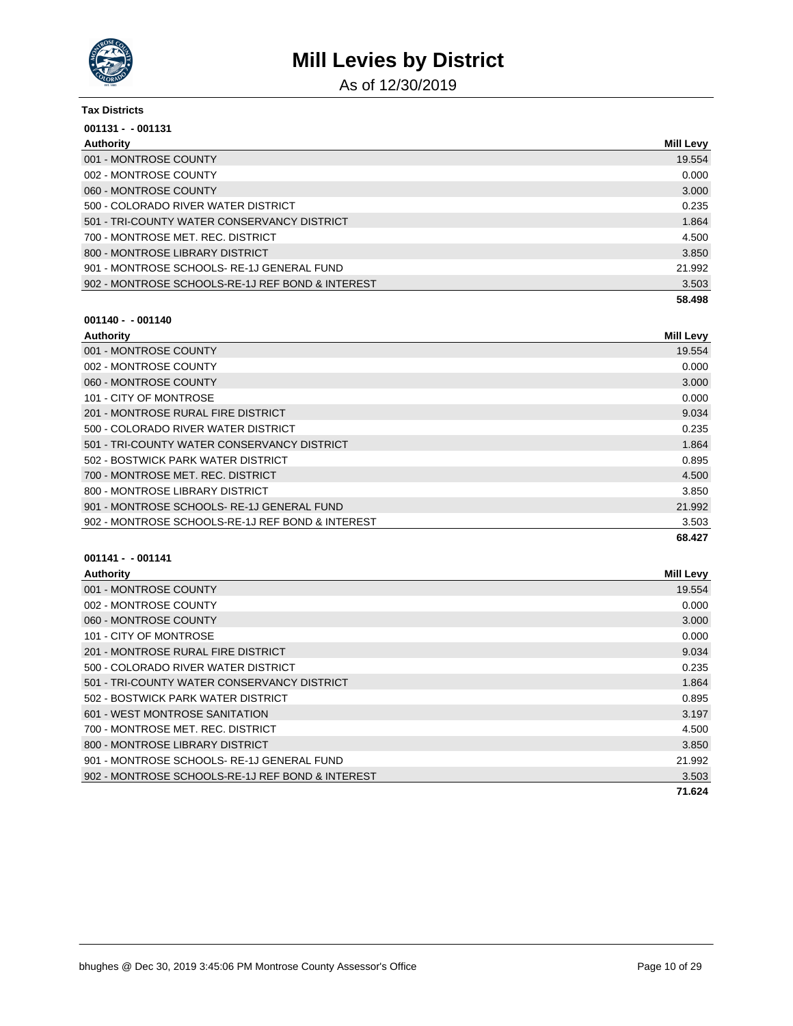

As of 12/30/2019

| <b>Tax Districts</b>                             |                  |
|--------------------------------------------------|------------------|
| $001131 - 001131$                                |                  |
| Authority                                        | <b>Mill Levy</b> |
| 001 - MONTROSE COUNTY                            | 19.554           |
| 002 - MONTROSE COUNTY                            | 0.000            |
| 060 - MONTROSE COUNTY                            | 3.000            |
| 500 - COLORADO RIVER WATER DISTRICT              | 0.235            |
| 501 - TRI-COUNTY WATER CONSERVANCY DISTRICT      | 1.864            |
| 700 - MONTROSE MET. REC. DISTRICT                | 4.500            |
| 800 - MONTROSE LIBRARY DISTRICT                  | 3.850            |
| 901 - MONTROSE SCHOOLS-RE-1J GENERAL FUND        | 21.992           |
| 902 - MONTROSE SCHOOLS-RE-1J REF BOND & INTEREST | 3.503            |
|                                                  | 58.498           |

# **001140 - - 001140**

| Authority                                        | <b>Mill Levy</b> |
|--------------------------------------------------|------------------|
| 001 - MONTROSE COUNTY                            | 19.554           |
| 002 - MONTROSE COUNTY                            | 0.000            |
| 060 - MONTROSE COUNTY                            | 3.000            |
| 101 - CITY OF MONTROSE                           | 0.000            |
| 201 - MONTROSE RURAL FIRE DISTRICT               | 9.034            |
| 500 - COLORADO RIVER WATER DISTRICT              | 0.235            |
| 501 - TRI-COUNTY WATER CONSERVANCY DISTRICT      | 1.864            |
| 502 - BOSTWICK PARK WATER DISTRICT               | 0.895            |
| 700 - MONTROSE MET, REC. DISTRICT                | 4.500            |
| 800 - MONTROSE LIBRARY DISTRICT                  | 3.850            |
| 901 - MONTROSE SCHOOLS-RE-1J GENERAL FUND        | 21.992           |
| 902 - MONTROSE SCHOOLS-RE-1J REF BOND & INTEREST | 3.503            |
|                                                  | 68.427           |

| Authority                                        | <b>Mill Levy</b> |
|--------------------------------------------------|------------------|
| 001 - MONTROSE COUNTY                            | 19.554           |
| 002 - MONTROSE COUNTY                            | 0.000            |
| 060 - MONTROSE COUNTY                            | 3.000            |
| 101 - CITY OF MONTROSE                           | 0.000            |
| 201 - MONTROSE RURAL FIRE DISTRICT               | 9.034            |
| 500 - COLORADO RIVER WATER DISTRICT              | 0.235            |
| 501 - TRI-COUNTY WATER CONSERVANCY DISTRICT      | 1.864            |
| 502 - BOSTWICK PARK WATER DISTRICT               | 0.895            |
| 601 - WEST MONTROSE SANITATION                   | 3.197            |
| 700 - MONTROSE MET. REC. DISTRICT                | 4.500            |
| 800 - MONTROSE LIBRARY DISTRICT                  | 3.850            |
| 901 - MONTROSE SCHOOLS-RE-1J GENERAL FUND        | 21.992           |
| 902 - MONTROSE SCHOOLS-RE-1J REF BOND & INTEREST | 3.503            |
|                                                  | 71.624           |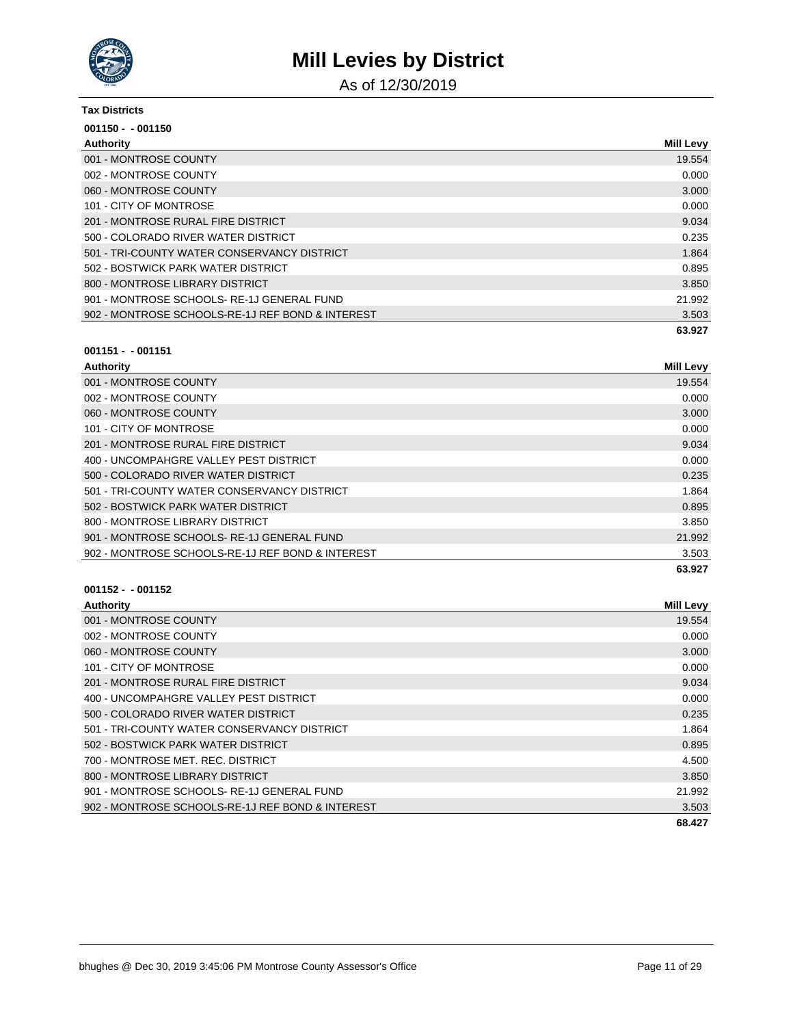

As of 12/30/2019

#### **Tax Districts**

| $001150 - 001150$                                |                  |
|--------------------------------------------------|------------------|
| Authority                                        | <b>Mill Levy</b> |
| 001 - MONTROSE COUNTY                            | 19.554           |
| 002 - MONTROSE COUNTY                            | 0.000            |
| 060 - MONTROSE COUNTY                            | 3.000            |
| 101 - CITY OF MONTROSE                           | 0.000            |
| 201 - MONTROSE RURAL FIRE DISTRICT               | 9.034            |
| 500 - COLORADO RIVER WATER DISTRICT              | 0.235            |
| 501 - TRI-COUNTY WATER CONSERVANCY DISTRICT      | 1.864            |
| 502 - BOSTWICK PARK WATER DISTRICT               | 0.895            |
| 800 - MONTROSE LIBRARY DISTRICT                  | 3.850            |
| 901 - MONTROSE SCHOOLS-RE-1J GENERAL FUND        | 21.992           |
| 902 - MONTROSE SCHOOLS-RE-1J REF BOND & INTEREST | 3.503            |
|                                                  | 63.927           |

### **001151 - - 001151**

| Authority                                        | <b>Mill Levy</b> |
|--------------------------------------------------|------------------|
| 001 - MONTROSE COUNTY                            | 19.554           |
| 002 - MONTROSE COUNTY                            | 0.000            |
| 060 - MONTROSE COUNTY                            | 3.000            |
| 101 - CITY OF MONTROSE                           | 0.000            |
| 201 - MONTROSE RURAL FIRE DISTRICT               | 9.034            |
| 400 - UNCOMPAHGRE VALLEY PEST DISTRICT           | 0.000            |
| 500 - COLORADO RIVER WATER DISTRICT              | 0.235            |
| 501 - TRI-COUNTY WATER CONSERVANCY DISTRICT      | 1.864            |
| 502 - BOSTWICK PARK WATER DISTRICT               | 0.895            |
| 800 - MONTROSE LIBRARY DISTRICT                  | 3.850            |
| 901 - MONTROSE SCHOOLS-RE-1J GENERAL FUND        | 21.992           |
| 902 - MONTROSE SCHOOLS-RE-1J REF BOND & INTEREST | 3.503            |
|                                                  | 63.927           |

| Authority                                        | <b>Mill Levy</b> |
|--------------------------------------------------|------------------|
| 001 - MONTROSE COUNTY                            | 19.554           |
| 002 - MONTROSE COUNTY                            | 0.000            |
| 060 - MONTROSE COUNTY                            | 3.000            |
| 101 - CITY OF MONTROSE                           | 0.000            |
| 201 - MONTROSE RURAL FIRE DISTRICT               | 9.034            |
| 400 - UNCOMPAHGRE VALLEY PEST DISTRICT           | 0.000            |
| 500 - COLORADO RIVER WATER DISTRICT              | 0.235            |
| 501 - TRI-COUNTY WATER CONSERVANCY DISTRICT      | 1.864            |
| 502 - BOSTWICK PARK WATER DISTRICT               | 0.895            |
| 700 - MONTROSE MET. REC. DISTRICT                | 4.500            |
| 800 - MONTROSE LIBRARY DISTRICT                  | 3.850            |
| 901 - MONTROSE SCHOOLS-RE-1J GENERAL FUND        | 21.992           |
| 902 - MONTROSE SCHOOLS-RE-1J REF BOND & INTEREST | 3.503            |
|                                                  | 68.427           |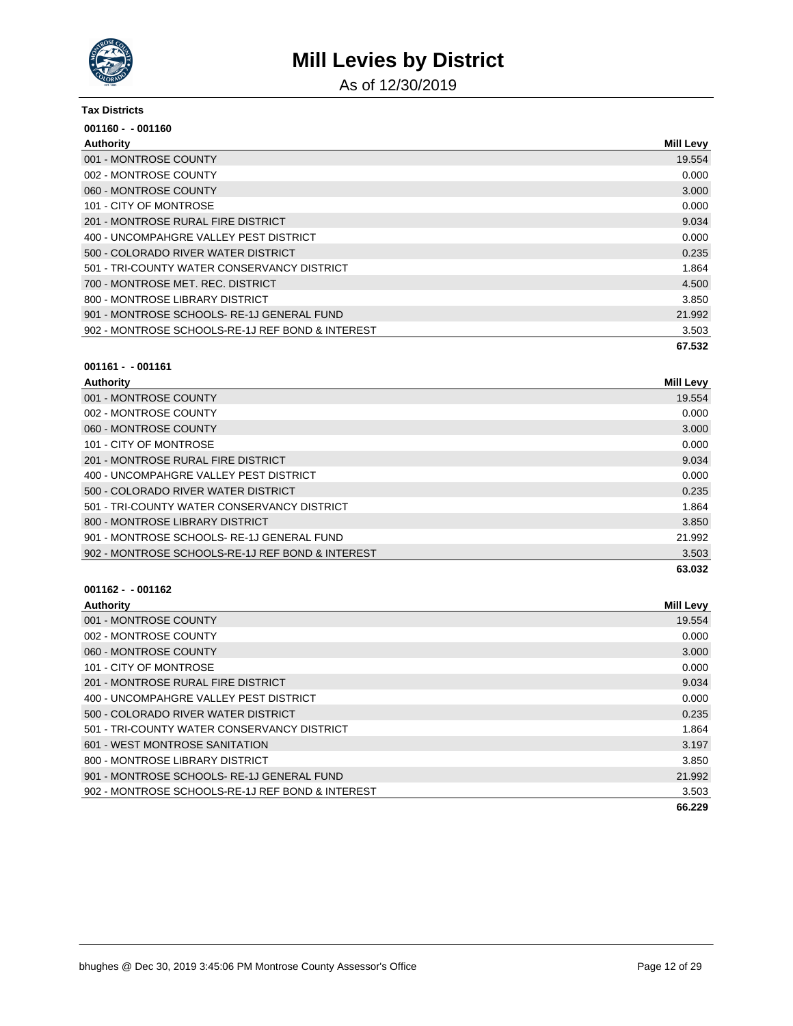

As of 12/30/2019

#### **Tax Districts**

| $001160 - 001160$                                |                  |
|--------------------------------------------------|------------------|
| Authority                                        | <b>Mill Levy</b> |
| 001 - MONTROSE COUNTY                            | 19.554           |
| 002 - MONTROSE COUNTY                            | 0.000            |
| 060 - MONTROSE COUNTY                            | 3.000            |
| 101 - CITY OF MONTROSE                           | 0.000            |
| 201 - MONTROSE RURAL FIRE DISTRICT               | 9.034            |
| 400 - UNCOMPAHGRE VALLEY PEST DISTRICT           | 0.000            |
| 500 - COLORADO RIVER WATER DISTRICT              | 0.235            |
| 501 - TRI-COUNTY WATER CONSERVANCY DISTRICT      | 1.864            |
| 700 - MONTROSE MET. REC. DISTRICT                | 4.500            |
| 800 - MONTROSE LIBRARY DISTRICT                  | 3.850            |
| 901 - MONTROSE SCHOOLS-RE-1J GENERAL FUND        | 21.992           |
| 902 - MONTROSE SCHOOLS-RE-1J REF BOND & INTEREST | 3.503            |
|                                                  | 67.532           |

#### **001161 - - 001161**

| Authority                                        | <b>Mill Levy</b> |
|--------------------------------------------------|------------------|
| 001 - MONTROSE COUNTY                            | 19.554           |
| 002 - MONTROSE COUNTY                            | 0.000            |
| 060 - MONTROSE COUNTY                            | 3.000            |
| 101 - CITY OF MONTROSE                           | 0.000            |
| 201 - MONTROSE RURAL FIRE DISTRICT               | 9.034            |
| 400 - UNCOMPAHGRE VALLEY PEST DISTRICT           | 0.000            |
| 500 - COLORADO RIVER WATER DISTRICT              | 0.235            |
| 501 - TRI-COUNTY WATER CONSERVANCY DISTRICT      | 1.864            |
| 800 - MONTROSE LIBRARY DISTRICT                  | 3.850            |
| 901 - MONTROSE SCHOOLS-RE-1J GENERAL FUND        | 21.992           |
| 902 - MONTROSE SCHOOLS-RE-1J REF BOND & INTEREST | 3.503            |
|                                                  | 63.032           |

| <b>Authority</b>                                 | <b>Mill Levy</b> |
|--------------------------------------------------|------------------|
| 001 - MONTROSE COUNTY                            | 19.554           |
| 002 - MONTROSE COUNTY                            | 0.000            |
| 060 - MONTROSE COUNTY                            | 3.000            |
| 101 - CITY OF MONTROSE                           | 0.000            |
| 201 - MONTROSE RURAL FIRE DISTRICT               | 9.034            |
| 400 - UNCOMPAHGRE VALLEY PEST DISTRICT           | 0.000            |
| 500 - COLORADO RIVER WATER DISTRICT              | 0.235            |
| 501 - TRI-COUNTY WATER CONSERVANCY DISTRICT      | 1.864            |
| 601 - WEST MONTROSE SANITATION                   | 3.197            |
| 800 - MONTROSE LIBRARY DISTRICT                  | 3.850            |
| 901 - MONTROSE SCHOOLS-RE-1J GENERAL FUND        | 21.992           |
| 902 - MONTROSE SCHOOLS-RE-1J REF BOND & INTEREST | 3.503            |
|                                                  | 66.229           |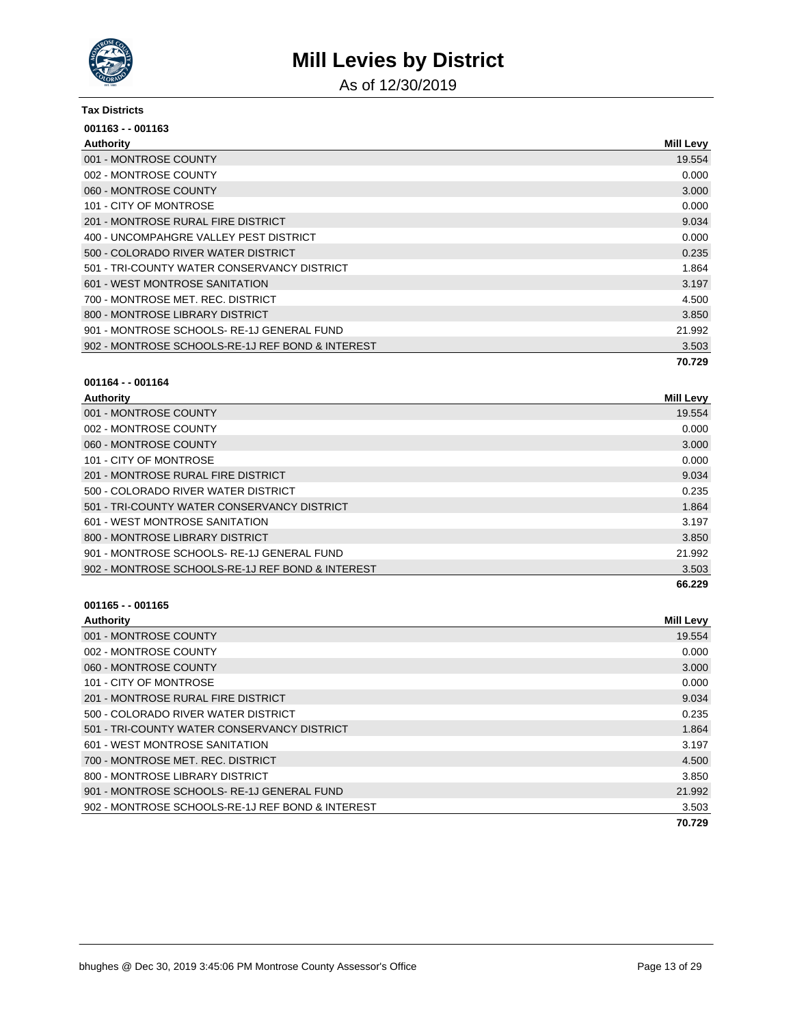

As of 12/30/2019

#### **Tax Districts**

| $001163 - 001163$                                |                  |
|--------------------------------------------------|------------------|
| Authority                                        | <b>Mill Levy</b> |
| 001 - MONTROSE COUNTY                            | 19.554           |
| 002 - MONTROSE COUNTY                            | 0.000            |
| 060 - MONTROSE COUNTY                            | 3.000            |
| 101 - CITY OF MONTROSE                           | 0.000            |
| 201 - MONTROSE RURAL FIRE DISTRICT               | 9.034            |
| 400 - UNCOMPAHGRE VALLEY PEST DISTRICT           | 0.000            |
| 500 - COLORADO RIVER WATER DISTRICT              | 0.235            |
| 501 - TRI-COUNTY WATER CONSERVANCY DISTRICT      | 1.864            |
| 601 - WEST MONTROSE SANITATION                   | 3.197            |
| 700 - MONTROSE MET. REC. DISTRICT                | 4.500            |
| 800 - MONTROSE LIBRARY DISTRICT                  | 3.850            |
| 901 - MONTROSE SCHOOLS-RE-1J GENERAL FUND        | 21.992           |
| 902 - MONTROSE SCHOOLS-RE-1J REF BOND & INTEREST | 3.503            |
|                                                  | 70.729           |

#### **001164 - - 001164**

| Authority                                        | <b>Mill Levy</b> |
|--------------------------------------------------|------------------|
| 001 - MONTROSE COUNTY                            | 19.554           |
| 002 - MONTROSE COUNTY                            | 0.000            |
| 060 - MONTROSE COUNTY                            | 3.000            |
| 101 - CITY OF MONTROSE                           | 0.000            |
| 201 - MONTROSE RURAL FIRE DISTRICT               | 9.034            |
| 500 - COLORADO RIVER WATER DISTRICT              | 0.235            |
| 501 - TRI-COUNTY WATER CONSERVANCY DISTRICT      | 1.864            |
| 601 - WEST MONTROSE SANITATION                   | 3.197            |
| 800 - MONTROSE LIBRARY DISTRICT                  | 3.850            |
| 901 - MONTROSE SCHOOLS-RE-1J GENERAL FUND        | 21.992           |
| 902 - MONTROSE SCHOOLS-RE-1J REF BOND & INTEREST | 3.503            |
|                                                  | 66.229           |

| <b>Authority</b>                                 | <b>Mill Levy</b> |
|--------------------------------------------------|------------------|
| 001 - MONTROSE COUNTY                            | 19.554           |
| 002 - MONTROSE COUNTY                            | 0.000            |
| 060 - MONTROSE COUNTY                            | 3.000            |
| 101 - CITY OF MONTROSE                           | 0.000            |
| 201 - MONTROSE RURAL FIRE DISTRICT               | 9.034            |
| 500 - COLORADO RIVER WATER DISTRICT              | 0.235            |
| 501 - TRI-COUNTY WATER CONSERVANCY DISTRICT      | 1.864            |
| 601 - WEST MONTROSE SANITATION                   | 3.197            |
| 700 - MONTROSE MET, REC. DISTRICT                | 4.500            |
| 800 - MONTROSE LIBRARY DISTRICT                  | 3.850            |
| 901 - MONTROSE SCHOOLS-RE-1J GENERAL FUND        | 21.992           |
| 902 - MONTROSE SCHOOLS-RE-1J REF BOND & INTEREST | 3.503            |
|                                                  | 70.729           |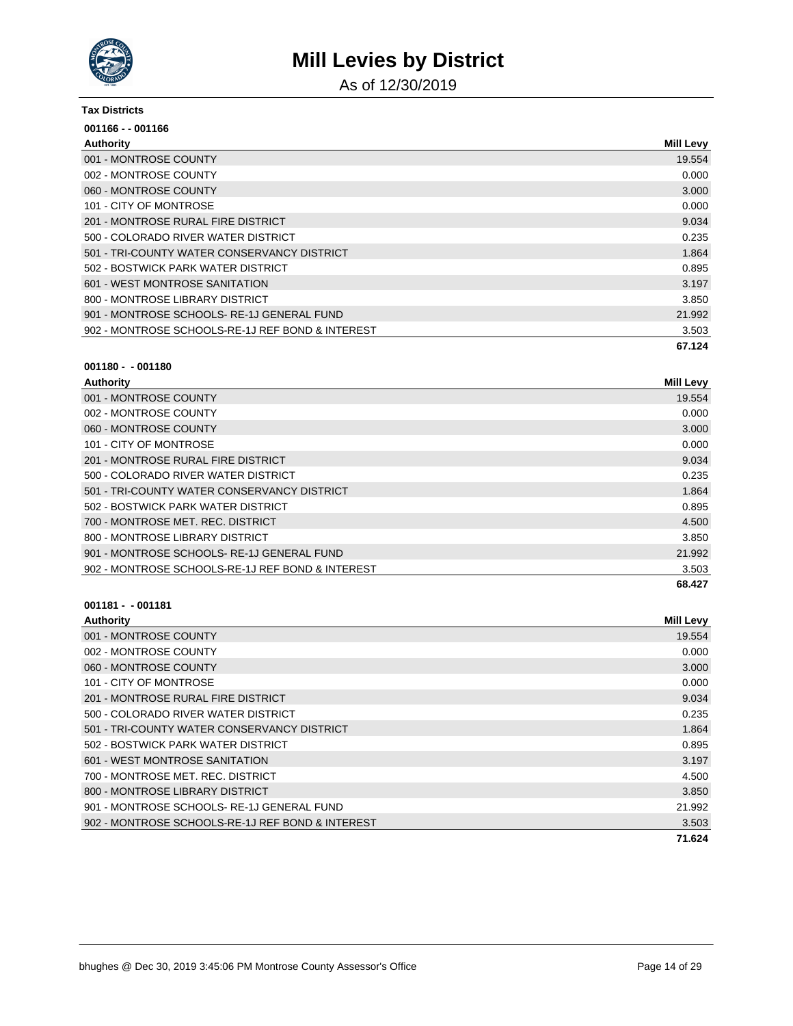

As of 12/30/2019

#### **Tax Districts**

| 001166 - - 001166                                |                  |
|--------------------------------------------------|------------------|
| Authority                                        | <b>Mill Levy</b> |
| 001 - MONTROSE COUNTY                            | 19.554           |
| 002 - MONTROSE COUNTY                            | 0.000            |
| 060 - MONTROSE COUNTY                            | 3.000            |
| 101 - CITY OF MONTROSE                           | 0.000            |
| 201 - MONTROSE RURAL FIRE DISTRICT               | 9.034            |
| 500 - COLORADO RIVER WATER DISTRICT              | 0.235            |
| 501 - TRI-COUNTY WATER CONSERVANCY DISTRICT      | 1.864            |
| 502 - BOSTWICK PARK WATER DISTRICT               | 0.895            |
| 601 - WEST MONTROSE SANITATION                   | 3.197            |
| 800 - MONTROSE LIBRARY DISTRICT                  | 3.850            |
| 901 - MONTROSE SCHOOLS-RE-1J GENERAL FUND        | 21.992           |
| 902 - MONTROSE SCHOOLS-RE-1J REF BOND & INTEREST | 3.503            |
|                                                  | 67.124           |

#### **001180 - - 001180**

| Authority                                        | <b>Mill Levy</b> |
|--------------------------------------------------|------------------|
| 001 - MONTROSE COUNTY                            | 19.554           |
| 002 - MONTROSE COUNTY                            | 0.000            |
| 060 - MONTROSE COUNTY                            | 3.000            |
| 101 - CITY OF MONTROSE                           | 0.000            |
| 201 - MONTROSE RURAL FIRE DISTRICT               | 9.034            |
| 500 - COLORADO RIVER WATER DISTRICT              | 0.235            |
| 501 - TRI-COUNTY WATER CONSERVANCY DISTRICT      | 1.864            |
| 502 - BOSTWICK PARK WATER DISTRICT               | 0.895            |
| 700 - MONTROSE MET. REC. DISTRICT                | 4.500            |
| 800 - MONTROSE LIBRARY DISTRICT                  | 3.850            |
| 901 - MONTROSE SCHOOLS-RE-1J GENERAL FUND        | 21.992           |
| 902 - MONTROSE SCHOOLS-RE-1J REF BOND & INTEREST | 3.503            |
|                                                  | 68.427           |

| <b>Authority</b>                                 | Mill Levy |
|--------------------------------------------------|-----------|
| 001 - MONTROSE COUNTY                            | 19.554    |
| 002 - MONTROSE COUNTY                            | 0.000     |
| 060 - MONTROSE COUNTY                            | 3.000     |
| 101 - CITY OF MONTROSE                           | 0.000     |
| 201 - MONTROSE RURAL FIRE DISTRICT               | 9.034     |
| 500 - COLORADO RIVER WATER DISTRICT              | 0.235     |
| 501 - TRI-COUNTY WATER CONSERVANCY DISTRICT      | 1.864     |
| 502 - BOSTWICK PARK WATER DISTRICT               | 0.895     |
| 601 - WEST MONTROSE SANITATION                   | 3.197     |
| 700 - MONTROSE MET. REC. DISTRICT                | 4.500     |
| 800 - MONTROSE LIBRARY DISTRICT                  | 3.850     |
| 901 - MONTROSE SCHOOLS-RE-1J GENERAL FUND        | 21.992    |
| 902 - MONTROSE SCHOOLS-RE-1J REF BOND & INTEREST | 3.503     |
|                                                  | 71.624    |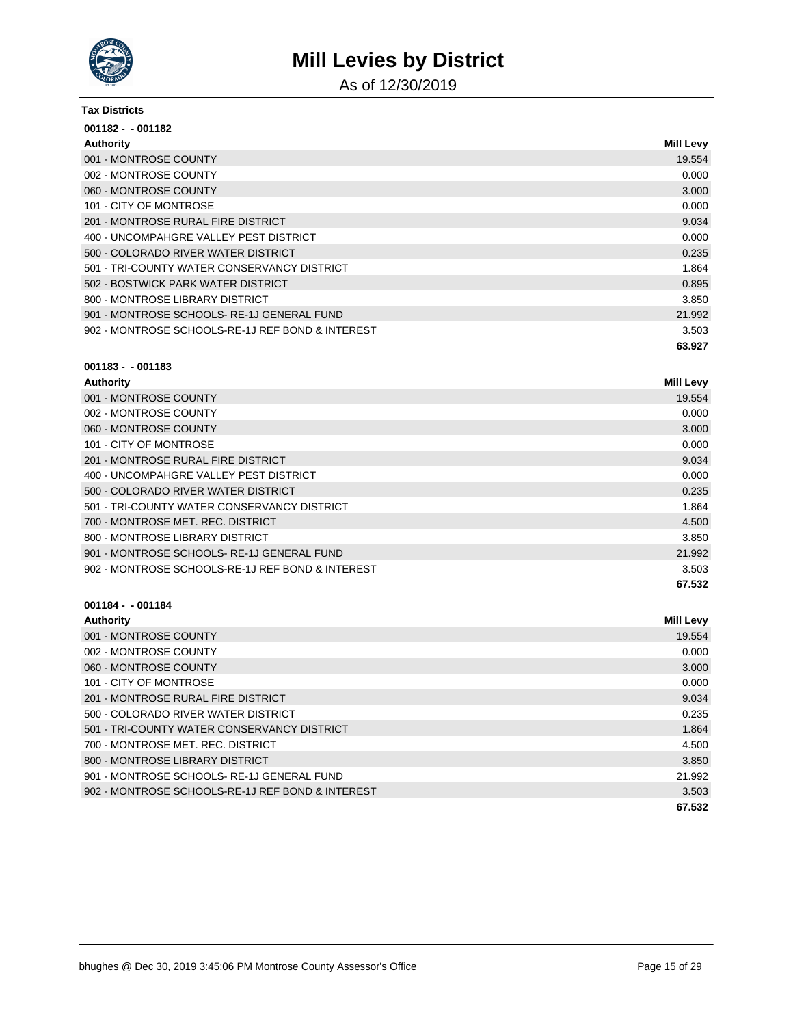

As of 12/30/2019

#### **Tax Districts**

| $001182 - 001182$                                |                  |
|--------------------------------------------------|------------------|
| Authority                                        | <b>Mill Levy</b> |
| 001 - MONTROSE COUNTY                            | 19.554           |
| 002 - MONTROSE COUNTY                            | 0.000            |
| 060 - MONTROSE COUNTY                            | 3.000            |
| 101 - CITY OF MONTROSE                           | 0.000            |
| 201 - MONTROSE RURAL FIRE DISTRICT               | 9.034            |
| 400 - UNCOMPAHGRE VALLEY PEST DISTRICT           | 0.000            |
| 500 - COLORADO RIVER WATER DISTRICT              | 0.235            |
| 501 - TRI-COUNTY WATER CONSERVANCY DISTRICT      | 1.864            |
| 502 - BOSTWICK PARK WATER DISTRICT               | 0.895            |
| 800 - MONTROSE LIBRARY DISTRICT                  | 3.850            |
| 901 - MONTROSE SCHOOLS-RE-1J GENERAL FUND        | 21.992           |
| 902 - MONTROSE SCHOOLS-RE-1J REF BOND & INTEREST | 3.503            |
|                                                  | 63.927           |

#### **001183 - - 001183**

| <b>Authority</b>                                 | <b>Mill Levy</b> |
|--------------------------------------------------|------------------|
| 001 - MONTROSE COUNTY                            | 19.554           |
| 002 - MONTROSE COUNTY                            | 0.000            |
| 060 - MONTROSE COUNTY                            | 3.000            |
| 101 - CITY OF MONTROSE                           | 0.000            |
| 201 - MONTROSE RURAL FIRE DISTRICT               | 9.034            |
| 400 - UNCOMPAHGRE VALLEY PEST DISTRICT           | 0.000            |
| 500 - COLORADO RIVER WATER DISTRICT              | 0.235            |
| 501 - TRI-COUNTY WATER CONSERVANCY DISTRICT      | 1.864            |
| 700 - MONTROSE MET. REC. DISTRICT                | 4.500            |
| 800 - MONTROSE LIBRARY DISTRICT                  | 3.850            |
| 901 - MONTROSE SCHOOLS-RE-1J GENERAL FUND        | 21.992           |
| 902 - MONTROSE SCHOOLS-RE-1J REF BOND & INTEREST | 3.503            |
|                                                  | 67.532           |

| <b>Authority</b>                                 | <b>Mill Levy</b> |
|--------------------------------------------------|------------------|
| 001 - MONTROSE COUNTY                            | 19.554           |
| 002 - MONTROSE COUNTY                            | 0.000            |
| 060 - MONTROSE COUNTY                            | 3.000            |
| 101 - CITY OF MONTROSE                           | 0.000            |
| 201 - MONTROSE RURAL FIRE DISTRICT               | 9.034            |
| 500 - COLORADO RIVER WATER DISTRICT              | 0.235            |
| 501 - TRI-COUNTY WATER CONSERVANCY DISTRICT      | 1.864            |
| 700 - MONTROSE MET. REC. DISTRICT                | 4.500            |
| 800 - MONTROSE LIBRARY DISTRICT                  | 3.850            |
| 901 - MONTROSE SCHOOLS-RE-1J GENERAL FUND        | 21.992           |
| 902 - MONTROSE SCHOOLS-RE-1J REF BOND & INTEREST | 3.503            |
|                                                  | 67.532           |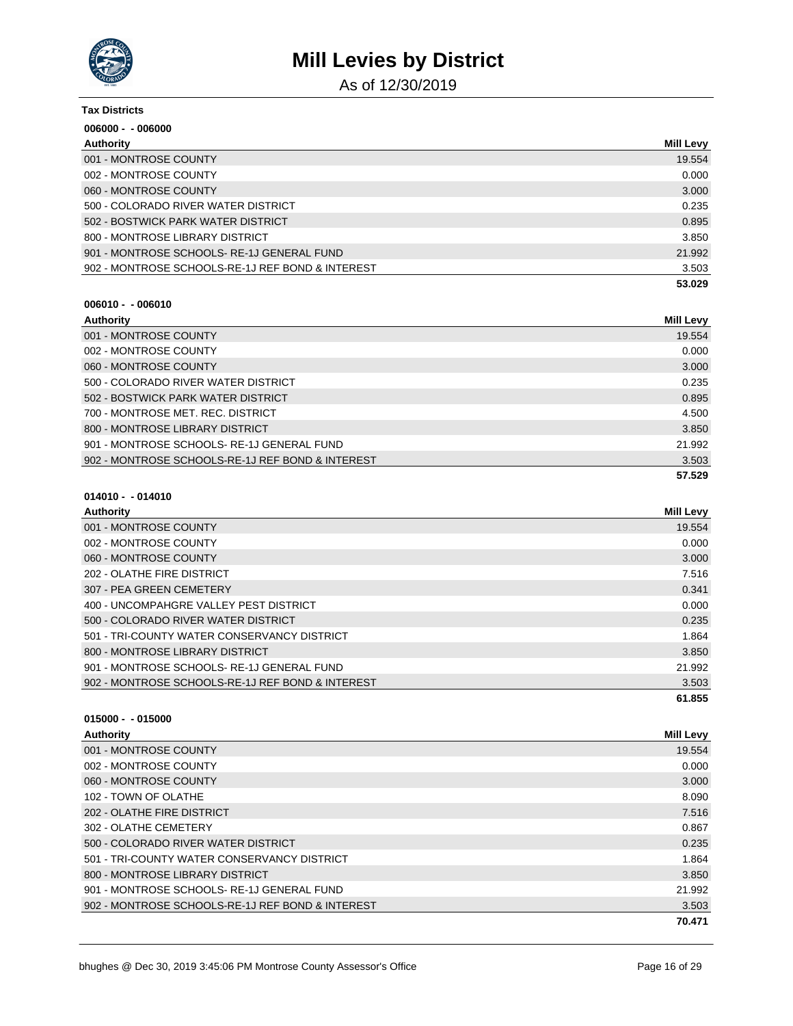

As of 12/30/2019

| <b>Tax Districts</b>                             |                  |
|--------------------------------------------------|------------------|
| $006000 - 006000$                                |                  |
| Authority                                        | <b>Mill Levy</b> |
| 001 - MONTROSE COUNTY                            | 19.554           |
| 002 - MONTROSE COUNTY                            | 0.000            |
| 060 - MONTROSE COUNTY                            | 3.000            |
| 500 - COLORADO RIVER WATER DISTRICT              | 0.235            |
| 502 - BOSTWICK PARK WATER DISTRICT               | 0.895            |
| 800 - MONTROSE LIBRARY DISTRICT                  | 3.850            |
| 901 - MONTROSE SCHOOLS-RE-1J GENERAL FUND        | 21.992           |
| 902 - MONTROSE SCHOOLS-RE-1J REF BOND & INTEREST | 3.503            |
|                                                  | 53.029           |

#### **006010 - - 006010**

| Authority                                        | <b>Mill Levy</b> |
|--------------------------------------------------|------------------|
| 001 - MONTROSE COUNTY                            | 19.554           |
| 002 - MONTROSE COUNTY                            | 0.000            |
| 060 - MONTROSE COUNTY                            | 3.000            |
| 500 - COLORADO RIVER WATER DISTRICT              | 0.235            |
| 502 - BOSTWICK PARK WATER DISTRICT               | 0.895            |
| 700 - MONTROSE MET. REC. DISTRICT                | 4.500            |
| 800 - MONTROSE LIBRARY DISTRICT                  | 3.850            |
| 901 - MONTROSE SCHOOLS-RE-1J GENERAL FUND        | 21.992           |
| 902 - MONTROSE SCHOOLS-RE-1J REF BOND & INTEREST | 3.503            |
|                                                  | 57.529           |

## **014010 - - 014010**

| Authority                                        | <b>Mill Levy</b> |
|--------------------------------------------------|------------------|
| 001 - MONTROSE COUNTY                            | 19.554           |
| 002 - MONTROSE COUNTY                            | 0.000            |
| 060 - MONTROSE COUNTY                            | 3.000            |
| 202 - OLATHE FIRE DISTRICT                       | 7.516            |
| 307 - PEA GREEN CEMETERY                         | 0.341            |
| 400 - UNCOMPAHGRE VALLEY PEST DISTRICT           | 0.000            |
| 500 - COLORADO RIVER WATER DISTRICT              | 0.235            |
| 501 - TRI-COUNTY WATER CONSERVANCY DISTRICT      | 1.864            |
| 800 - MONTROSE LIBRARY DISTRICT                  | 3.850            |
| 901 - MONTROSE SCHOOLS-RE-1J GENERAL FUND        | 21.992           |
| 902 - MONTROSE SCHOOLS-RE-1J REF BOND & INTEREST | 3.503            |
|                                                  | 61.855           |

| Authority                                        | <b>Mill Levy</b> |
|--------------------------------------------------|------------------|
| 001 - MONTROSE COUNTY                            | 19.554           |
| 002 - MONTROSE COUNTY                            | 0.000            |
| 060 - MONTROSE COUNTY                            | 3.000            |
| 102 - TOWN OF OLATHE                             | 8.090            |
| 202 - OLATHE FIRE DISTRICT                       | 7.516            |
| 302 - OLATHE CEMETERY                            | 0.867            |
| 500 - COLORADO RIVER WATER DISTRICT              | 0.235            |
| 501 - TRI-COUNTY WATER CONSERVANCY DISTRICT      | 1.864            |
| 800 - MONTROSE LIBRARY DISTRICT                  | 3.850            |
| 901 - MONTROSE SCHOOLS-RE-1J GENERAL FUND        | 21.992           |
| 902 - MONTROSE SCHOOLS-RE-1J REF BOND & INTEREST | 3.503            |
|                                                  | 70.471           |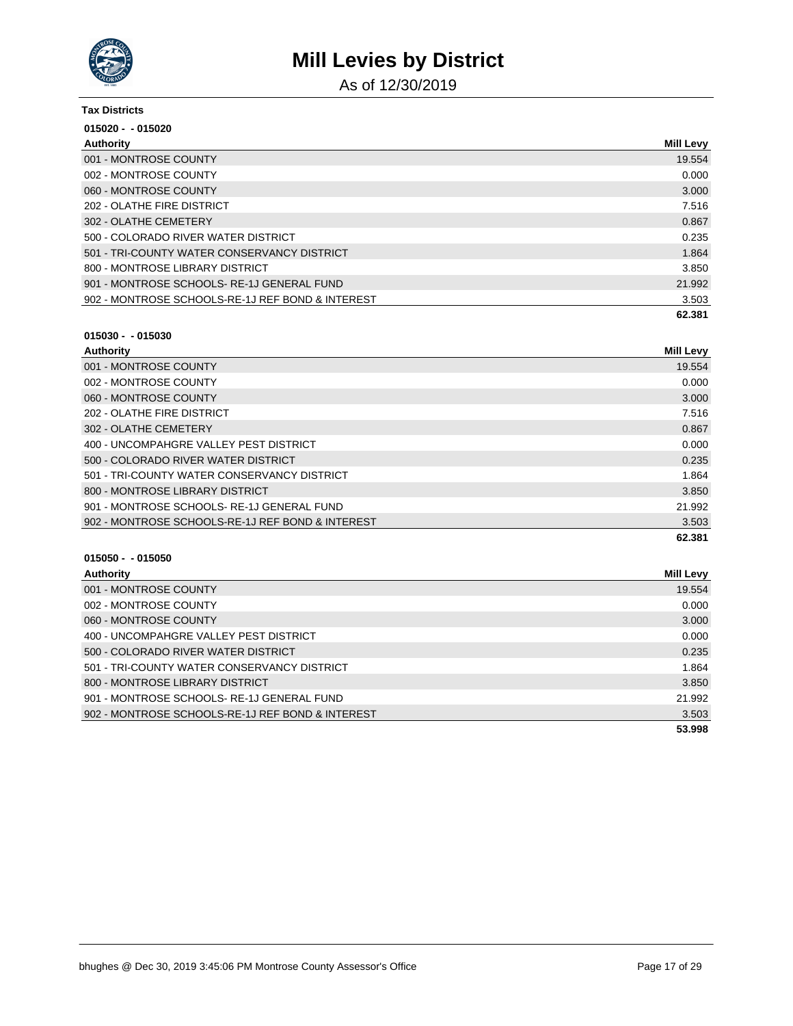

As of 12/30/2019

| <b>Tax Districts</b>                             |                  |
|--------------------------------------------------|------------------|
| $015020 - 015020$                                |                  |
| Authority                                        | <b>Mill Levy</b> |
| 001 - MONTROSE COUNTY                            | 19.554           |
| 002 - MONTROSE COUNTY                            | 0.000            |
| 060 - MONTROSE COUNTY                            | 3.000            |
| 202 - OLATHE FIRE DISTRICT                       | 7.516            |
| 302 - OLATHE CEMETERY                            | 0.867            |
| 500 - COLORADO RIVER WATER DISTRICT              | 0.235            |
| 501 - TRI-COUNTY WATER CONSERVANCY DISTRICT      | 1.864            |
| 800 - MONTROSE LIBRARY DISTRICT                  | 3.850            |
| 901 - MONTROSE SCHOOLS-RE-1J GENERAL FUND        | 21.992           |
| 902 - MONTROSE SCHOOLS-RE-1J REF BOND & INTEREST | 3.503            |
|                                                  | 62.381           |

### **015030 - - 015030**

| Authority                                        | <b>Mill Levy</b> |
|--------------------------------------------------|------------------|
| 001 - MONTROSE COUNTY                            | 19.554           |
| 002 - MONTROSE COUNTY                            | 0.000            |
| 060 - MONTROSE COUNTY                            | 3.000            |
| 202 - OLATHE FIRE DISTRICT                       | 7.516            |
| 302 - OLATHE CEMETERY                            | 0.867            |
| 400 - UNCOMPAHGRE VALLEY PEST DISTRICT           | 0.000            |
| 500 - COLORADO RIVER WATER DISTRICT              | 0.235            |
| 501 - TRI-COUNTY WATER CONSERVANCY DISTRICT      | 1.864            |
| 800 - MONTROSE LIBRARY DISTRICT                  | 3.850            |
| 901 - MONTROSE SCHOOLS-RE-1J GENERAL FUND        | 21.992           |
| 902 - MONTROSE SCHOOLS-RE-1J REF BOND & INTEREST | 3.503            |
|                                                  | 62.381           |

| Authority                                        | <b>Mill Levy</b> |
|--------------------------------------------------|------------------|
| 001 - MONTROSE COUNTY                            | 19.554           |
| 002 - MONTROSE COUNTY                            | 0.000            |
| 060 - MONTROSE COUNTY                            | 3.000            |
| 400 - UNCOMPAHGRE VALLEY PEST DISTRICT           | 0.000            |
| 500 - COLORADO RIVER WATER DISTRICT              | 0.235            |
| 501 - TRI-COUNTY WATER CONSERVANCY DISTRICT      | 1.864            |
| 800 - MONTROSE LIBRARY DISTRICT                  | 3.850            |
| 901 - MONTROSE SCHOOLS-RE-1J GENERAL FUND        | 21.992           |
| 902 - MONTROSE SCHOOLS-RE-1J REF BOND & INTEREST | 3.503            |
|                                                  | 53.998           |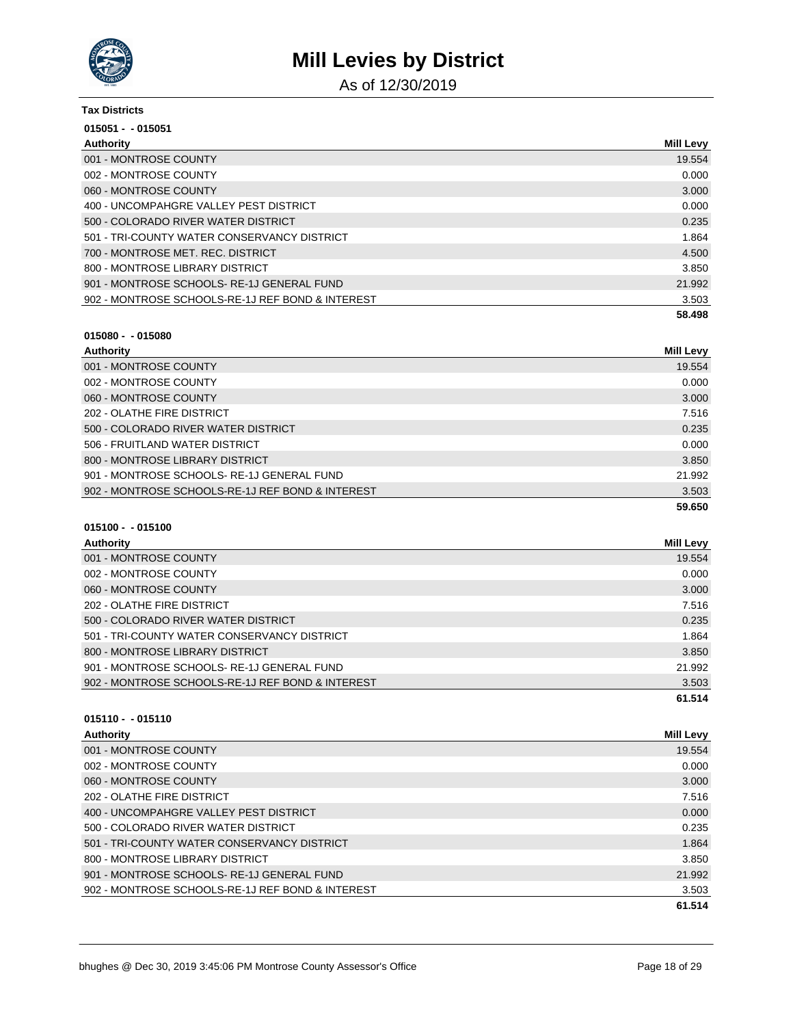

As of 12/30/2019

| <b>Tax Districts</b>                             |                  |
|--------------------------------------------------|------------------|
| $015051 - 015051$                                |                  |
| Authority                                        | <b>Mill Levy</b> |
| 001 - MONTROSE COUNTY                            | 19.554           |
| 002 - MONTROSE COUNTY                            | 0.000            |
| 060 - MONTROSE COUNTY                            | 3.000            |
| 400 - UNCOMPAHGRE VALLEY PEST DISTRICT           | 0.000            |
| 500 - COLORADO RIVER WATER DISTRICT              | 0.235            |
| 501 - TRI-COUNTY WATER CONSERVANCY DISTRICT      | 1.864            |
| 700 - MONTROSE MET. REC. DISTRICT                | 4.500            |
| 800 - MONTROSE LIBRARY DISTRICT                  | 3.850            |
| 901 - MONTROSE SCHOOLS-RE-1J GENERAL FUND        | 21.992           |
| 902 - MONTROSE SCHOOLS-RE-1J REF BOND & INTEREST | 3.503            |
|                                                  | 58.498           |

### **015080 - - 015080**

| Authority                                        | Mill Levy |
|--------------------------------------------------|-----------|
| 001 - MONTROSE COUNTY                            | 19.554    |
| 002 - MONTROSE COUNTY                            | 0.000     |
| 060 - MONTROSE COUNTY                            | 3.000     |
| 202 - OLATHE FIRE DISTRICT                       | 7.516     |
| 500 - COLORADO RIVER WATER DISTRICT              | 0.235     |
| 506 - FRUITLAND WATER DISTRICT                   | 0.000     |
| 800 - MONTROSE LIBRARY DISTRICT                  | 3.850     |
| 901 - MONTROSE SCHOOLS-RE-1J GENERAL FUND        | 21.992    |
| 902 - MONTROSE SCHOOLS-RE-1J REF BOND & INTEREST | 3.503     |
|                                                  | 59.650    |

### **015100 - - 015100**

| Authority                                        | Mill Levy |
|--------------------------------------------------|-----------|
| 001 - MONTROSE COUNTY                            | 19.554    |
| 002 - MONTROSE COUNTY                            | 0.000     |
| 060 - MONTROSE COUNTY                            | 3.000     |
| 202 - OLATHE FIRE DISTRICT                       | 7.516     |
| 500 - COLORADO RIVER WATER DISTRICT              | 0.235     |
| 501 - TRI-COUNTY WATER CONSERVANCY DISTRICT      | 1.864     |
| 800 - MONTROSE LIBRARY DISTRICT                  | 3.850     |
| 901 - MONTROSE SCHOOLS-RE-1J GENERAL FUND        | 21.992    |
| 902 - MONTROSE SCHOOLS-RE-1J REF BOND & INTEREST | 3.503     |
|                                                  | 61.514    |

| Authority                                        | <b>Mill Levy</b> |
|--------------------------------------------------|------------------|
| 001 - MONTROSE COUNTY                            | 19.554           |
| 002 - MONTROSE COUNTY                            | 0.000            |
| 060 - MONTROSE COUNTY                            | 3.000            |
| 202 - OLATHE FIRE DISTRICT                       | 7.516            |
| 400 - UNCOMPAHGRE VALLEY PEST DISTRICT           | 0.000            |
| 500 - COLORADO RIVER WATER DISTRICT              | 0.235            |
| 501 - TRI-COUNTY WATER CONSERVANCY DISTRICT      | 1.864            |
| 800 - MONTROSE LIBRARY DISTRICT                  | 3.850            |
| 901 - MONTROSE SCHOOLS-RE-1J GENERAL FUND        | 21.992           |
| 902 - MONTROSE SCHOOLS-RE-1J REF BOND & INTEREST | 3.503            |
|                                                  | 61.514           |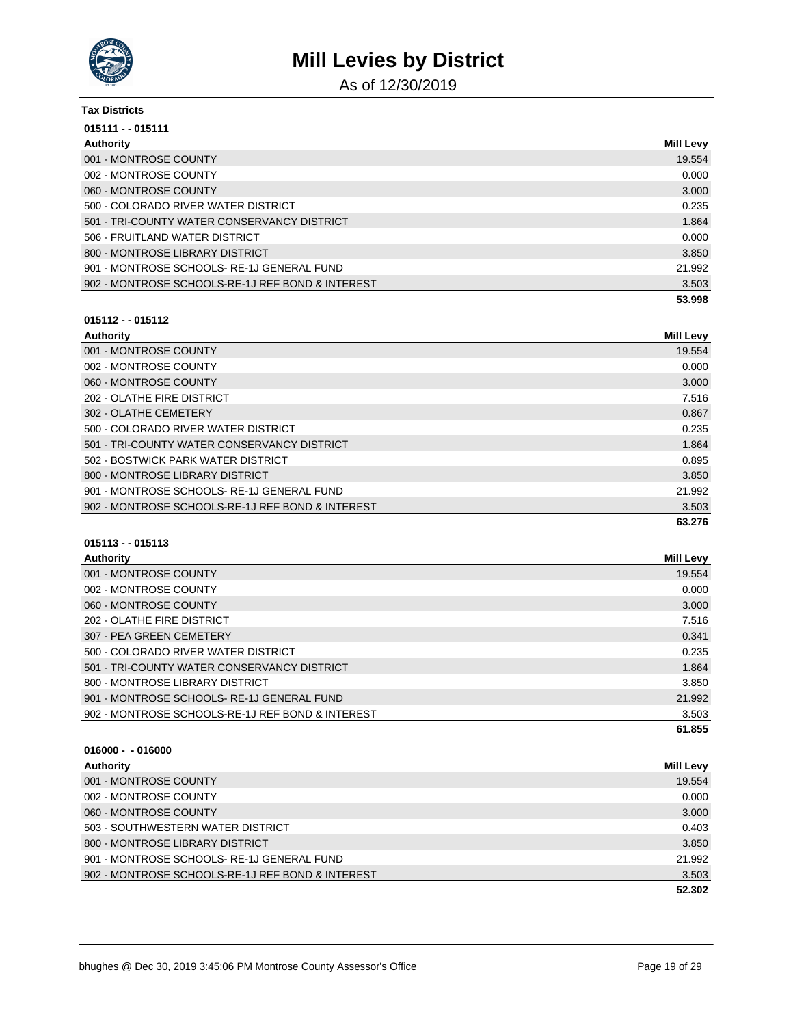

As of 12/30/2019

| <b>Tax Districts</b>                             |                  |
|--------------------------------------------------|------------------|
| $015111 - 015111$                                |                  |
| Authority                                        | <b>Mill Levy</b> |
| 001 - MONTROSE COUNTY                            | 19.554           |
| 002 - MONTROSE COUNTY                            | 0.000            |
| 060 - MONTROSE COUNTY                            | 3.000            |
| 500 - COLORADO RIVER WATER DISTRICT              | 0.235            |
| 501 - TRI-COUNTY WATER CONSERVANCY DISTRICT      | 1.864            |
| 506 - FRUITLAND WATER DISTRICT                   | 0.000            |
| 800 - MONTROSE LIBRARY DISTRICT                  | 3.850            |
| 901 - MONTROSE SCHOOLS-RE-1J GENERAL FUND        | 21.992           |
| 902 - MONTROSE SCHOOLS-RE-1J REF BOND & INTEREST | 3.503            |
|                                                  | 53.998           |

# **015112 - - 015112**

| Authority                                        | <b>Mill Levy</b> |
|--------------------------------------------------|------------------|
| 001 - MONTROSE COUNTY                            | 19.554           |
| 002 - MONTROSE COUNTY                            | 0.000            |
| 060 - MONTROSE COUNTY                            | 3.000            |
| 202 - OLATHE FIRE DISTRICT                       | 7.516            |
| 302 - OLATHE CEMETERY                            | 0.867            |
| 500 - COLORADO RIVER WATER DISTRICT              | 0.235            |
| 501 - TRI-COUNTY WATER CONSERVANCY DISTRICT      | 1.864            |
| 502 - BOSTWICK PARK WATER DISTRICT               | 0.895            |
| 800 - MONTROSE LIBRARY DISTRICT                  | 3.850            |
| 901 - MONTROSE SCHOOLS-RE-1J GENERAL FUND        | 21.992           |
| 902 - MONTROSE SCHOOLS-RE-1J REF BOND & INTEREST | 3.503            |
|                                                  | 63.276           |

# **015113 - - 015113**

| <b>Authority</b>                                 | <b>Mill Levy</b> |
|--------------------------------------------------|------------------|
| 001 - MONTROSE COUNTY                            | 19.554           |
| 002 - MONTROSE COUNTY                            | 0.000            |
| 060 - MONTROSE COUNTY                            | 3.000            |
| 202 - OLATHE FIRE DISTRICT                       | 7.516            |
| 307 - PEA GREEN CEMETERY                         | 0.341            |
| 500 - COLORADO RIVER WATER DISTRICT              | 0.235            |
| 501 - TRI-COUNTY WATER CONSERVANCY DISTRICT      | 1.864            |
| 800 - MONTROSE LIBRARY DISTRICT                  | 3.850            |
| 901 - MONTROSE SCHOOLS-RE-1J GENERAL FUND        | 21.992           |
| 902 - MONTROSE SCHOOLS-RE-1J REF BOND & INTEREST | 3.503            |
|                                                  | 61.855           |

| Authority                                        | <b>Mill Levy</b> |
|--------------------------------------------------|------------------|
| 001 - MONTROSE COUNTY                            | 19.554           |
| 002 - MONTROSE COUNTY                            | 0.000            |
| 060 - MONTROSE COUNTY                            | 3.000            |
| 503 - SOUTHWESTERN WATER DISTRICT                | 0.403            |
| 800 - MONTROSE LIBRARY DISTRICT                  | 3.850            |
| 901 - MONTROSE SCHOOLS-RE-1J GENERAL FUND        | 21.992           |
| 902 - MONTROSE SCHOOLS-RE-1J REF BOND & INTEREST | 3.503            |
|                                                  | 52.302           |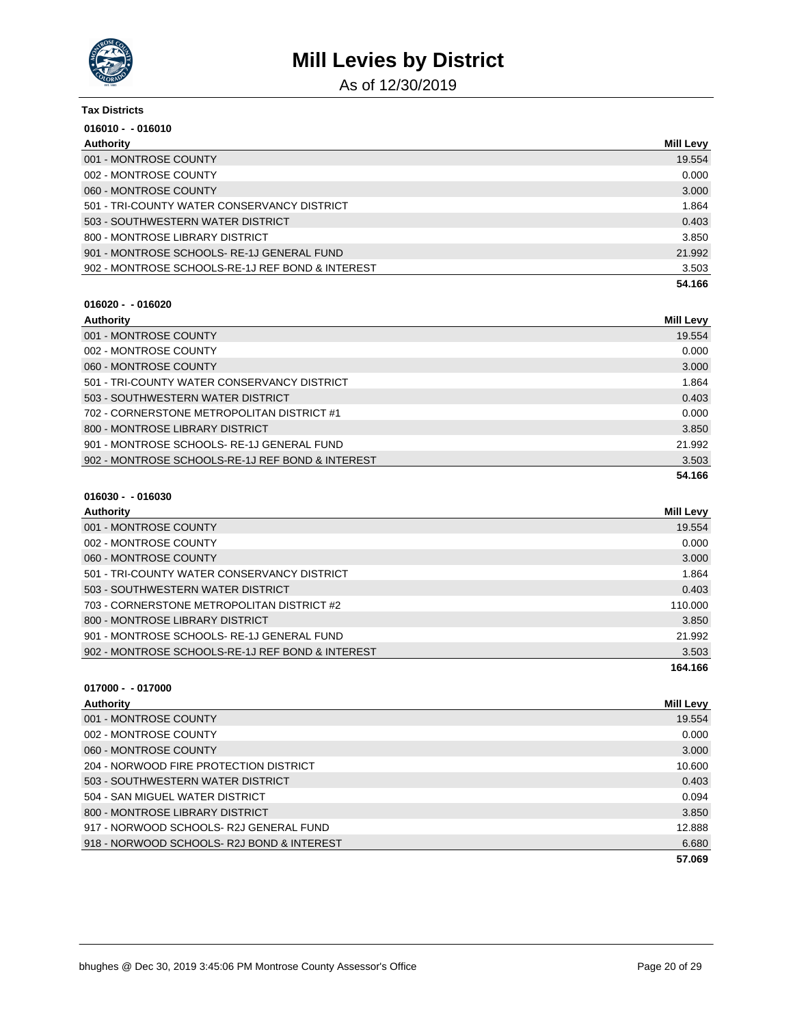

As of 12/30/2019

| <b>Tax Districts</b>                             |                  |
|--------------------------------------------------|------------------|
| $016010 - 016010$                                |                  |
| Authority                                        | <b>Mill Levy</b> |
| 001 - MONTROSE COUNTY                            | 19.554           |
| 002 - MONTROSE COUNTY                            | 0.000            |
| 060 - MONTROSE COUNTY                            | 3.000            |
| 501 - TRI-COUNTY WATER CONSERVANCY DISTRICT      | 1.864            |
| 503 - SOUTHWESTERN WATER DISTRICT                | 0.403            |
| 800 - MONTROSE LIBRARY DISTRICT                  | 3.850            |
| 901 - MONTROSE SCHOOLS-RE-1J GENERAL FUND        | 21.992           |
| 902 - MONTROSE SCHOOLS-RE-1J REF BOND & INTEREST | 3.503            |
|                                                  | 54.166           |

#### **016020 - - 016020**

| Authority                                        | <b>Mill Levy</b> |
|--------------------------------------------------|------------------|
| 001 - MONTROSE COUNTY                            | 19.554           |
| 002 - MONTROSE COUNTY                            | 0.000            |
| 060 - MONTROSE COUNTY                            | 3.000            |
| 501 - TRI-COUNTY WATER CONSERVANCY DISTRICT      | 1.864            |
| 503 - SOUTHWESTERN WATER DISTRICT                | 0.403            |
| 702 - CORNERSTONE METROPOLITAN DISTRICT #1       | 0.000            |
| 800 - MONTROSE LIBRARY DISTRICT                  | 3.850            |
| 901 - MONTROSE SCHOOLS-RE-1J GENERAL FUND        | 21.992           |
| 902 - MONTROSE SCHOOLS-RE-1J REF BOND & INTEREST | 3.503            |
|                                                  | 54.166           |

## **016030 - - 016030**

| Authority                                        | Mill Levy |
|--------------------------------------------------|-----------|
| 001 - MONTROSE COUNTY                            | 19.554    |
| 002 - MONTROSE COUNTY                            | 0.000     |
| 060 - MONTROSE COUNTY                            | 3.000     |
| 501 - TRI-COUNTY WATER CONSERVANCY DISTRICT      | 1.864     |
| 503 - SOUTHWESTERN WATER DISTRICT                | 0.403     |
| 703 - CORNERSTONE METROPOLITAN DISTRICT #2       | 110.000   |
| 800 - MONTROSE LIBRARY DISTRICT                  | 3.850     |
| 901 - MONTROSE SCHOOLS-RE-1J GENERAL FUND        | 21.992    |
| 902 - MONTROSE SCHOOLS-RE-1J REF BOND & INTEREST | 3.503     |
|                                                  | 164.166   |

| Authority                                 | Mill Levy |
|-------------------------------------------|-----------|
| 001 - MONTROSE COUNTY                     | 19.554    |
| 002 - MONTROSE COUNTY                     | 0.000     |
| 060 - MONTROSE COUNTY                     | 3.000     |
| 204 - NORWOOD FIRE PROTECTION DISTRICT    | 10.600    |
| 503 - SOUTHWESTERN WATER DISTRICT         | 0.403     |
| 504 - SAN MIGUEL WATER DISTRICT           | 0.094     |
| 800 - MONTROSE LIBRARY DISTRICT           | 3.850     |
| 917 - NORWOOD SCHOOLS-R2J GENERAL FUND    | 12.888    |
| 918 - NORWOOD SCHOOLS-R2J BOND & INTEREST | 6.680     |
|                                           | 57.069    |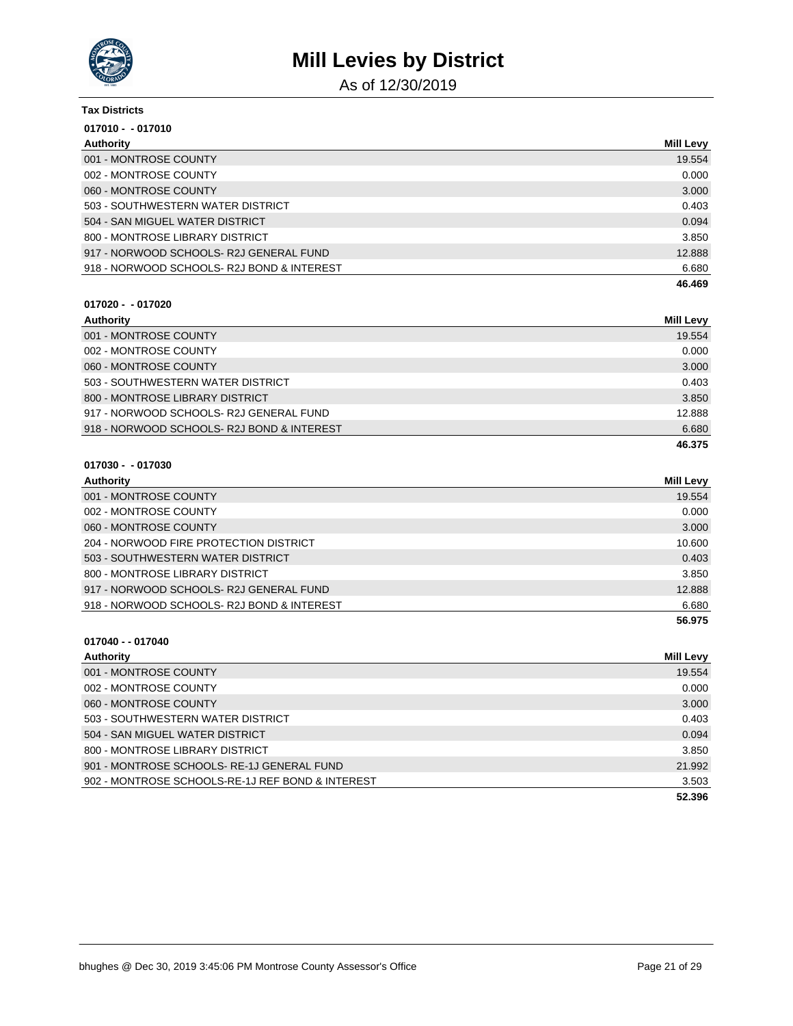

As of 12/30/2019

| <b>Tax Districts</b>                      |                  |
|-------------------------------------------|------------------|
| $017010 - 017010$                         |                  |
| Authority                                 | <b>Mill Levy</b> |
| 001 - MONTROSE COUNTY                     | 19.554           |
| 002 - MONTROSE COUNTY                     | 0.000            |
| 060 - MONTROSE COUNTY                     | 3.000            |
| 503 - SOUTHWESTERN WATER DISTRICT         | 0.403            |
| 504 - SAN MIGUEL WATER DISTRICT           | 0.094            |
| 800 - MONTROSE LIBRARY DISTRICT           | 3.850            |
| 917 - NORWOOD SCHOOLS-R2J GENERAL FUND    | 12.888           |
| 918 - NORWOOD SCHOOLS-R2J BOND & INTEREST | 6.680            |
|                                           | 46.469           |

#### **017020 - - 017020**

| Authority                                 | Mill Levy |
|-------------------------------------------|-----------|
| 001 - MONTROSE COUNTY                     | 19.554    |
| 002 - MONTROSE COUNTY                     | 0.000     |
| 060 - MONTROSE COUNTY                     | 3.000     |
| 503 - SOUTHWESTERN WATER DISTRICT         | 0.403     |
| 800 - MONTROSE LIBRARY DISTRICT           | 3.850     |
| 917 - NORWOOD SCHOOLS- R2J GENERAL FUND   | 12.888    |
| 918 - NORWOOD SCHOOLS-R2J BOND & INTEREST | 6.680     |
|                                           | 46.375    |

#### **017030 - - 017030**

**017040 - - 017040**

| Authority                                  | Mill Levy |
|--------------------------------------------|-----------|
| 001 - MONTROSE COUNTY                      | 19.554    |
| 002 - MONTROSE COUNTY                      | 0.000     |
| 060 - MONTROSE COUNTY                      | 3.000     |
| 204 - NORWOOD FIRE PROTECTION DISTRICT     | 10.600    |
| 503 - SOUTHWESTERN WATER DISTRICT          | 0.403     |
| 800 - MONTROSE LIBRARY DISTRICT            | 3.850     |
| 917 - NORWOOD SCHOOLS-R2J GENERAL FUND     | 12.888    |
| 918 - NORWOOD SCHOOLS- R2J BOND & INTEREST | 6.680     |
|                                            | 56.975    |

## **Authority Mill Levy** 001 - MONTROSE COUNTY **19.554** 002 - MONTROSE COUNTY 0.000 NOTES AND THE SERVICE OF THE SERVICE OF THE SERVICE OF THE SERVICE OF THE SERVICE O 060 - MONTROSE COUNTY 3.000 503 - SOUTHWESTERN WATER DISTRICT 0.403 504 - SAN MIGUEL WATER DISTRICT 0.094 800 - MONTROSE LIBRARY DISTRICT 3.850 901 - MONTROSE SCHOOLS- RE-1J GENERAL FUND 21.992 902 - MONTROSE SCHOOLS-RE-1J REF BOND & INTEREST 3.503 **52.396**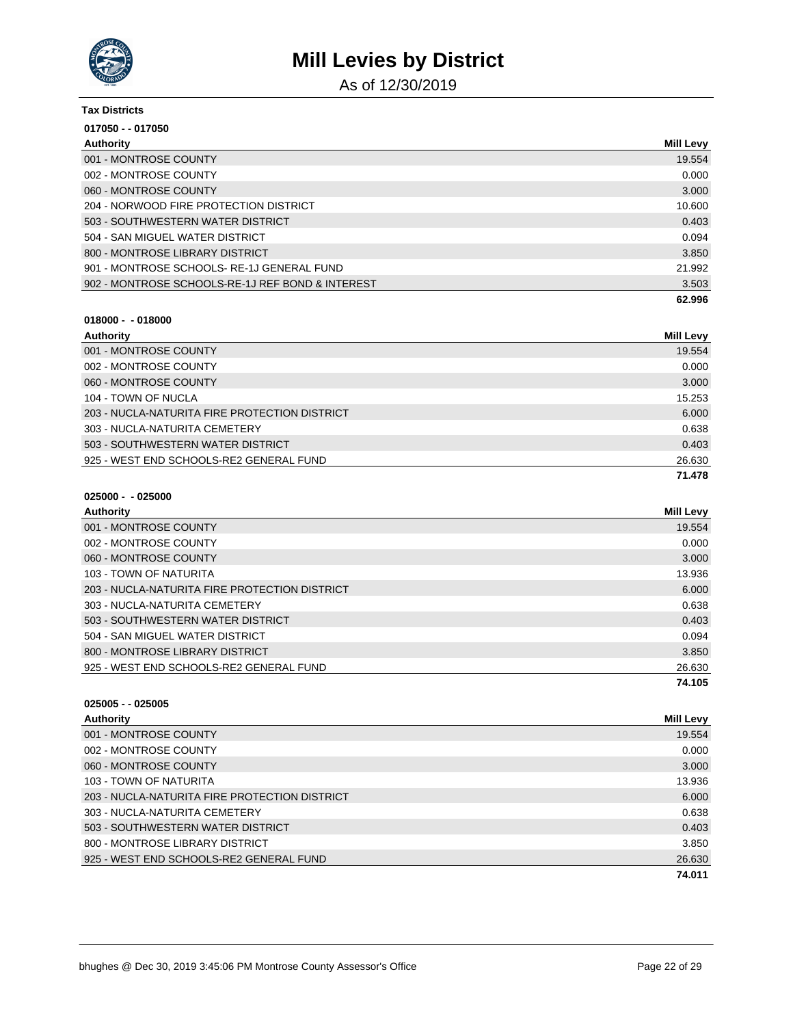

As of 12/30/2019

| <b>Tax Districts</b>                             |                  |
|--------------------------------------------------|------------------|
| 017050 - - 017050                                |                  |
| Authority                                        | <b>Mill Levy</b> |
| 001 - MONTROSE COUNTY                            | 19.554           |
| 002 - MONTROSE COUNTY                            | 0.000            |
| 060 - MONTROSE COUNTY                            | 3.000            |
| 204 - NORWOOD FIRE PROTECTION DISTRICT           | 10.600           |
| 503 - SOUTHWESTERN WATER DISTRICT                | 0.403            |
| 504 - SAN MIGUEL WATER DISTRICT                  | 0.094            |
| 800 - MONTROSE LIBRARY DISTRICT                  | 3.850            |
| 901 - MONTROSE SCHOOLS-RE-1J GENERAL FUND        | 21.992           |
| 902 - MONTROSE SCHOOLS-RE-1J REF BOND & INTEREST | 3.503            |
|                                                  | 62.996           |

| - 018000<br>018000 - |
|----------------------|
|----------------------|

| Authority                                     | <b>Mill Levy</b> |
|-----------------------------------------------|------------------|
| 001 - MONTROSE COUNTY                         | 19.554           |
| 002 - MONTROSE COUNTY                         | 0.000            |
| 060 - MONTROSE COUNTY                         | 3.000            |
| 104 - TOWN OF NUCLA                           | 15.253           |
| 203 - NUCLA-NATURITA FIRE PROTECTION DISTRICT | 6.000            |
| 303 - NUCLA-NATURITA CEMETERY                 | 0.638            |
| 503 - SOUTHWESTERN WATER DISTRICT             | 0.403            |
| 925 - WEST END SCHOOLS-RE2 GENERAL FUND       | 26.630           |
|                                               | 71.478           |

| 025000 - - 025000 |  |
|-------------------|--|
|-------------------|--|

| Authority                                     | Mill Levy |
|-----------------------------------------------|-----------|
| 001 - MONTROSE COUNTY                         | 19.554    |
| 002 - MONTROSE COUNTY                         | 0.000     |
| 060 - MONTROSE COUNTY                         | 3.000     |
| 103 - TOWN OF NATURITA                        | 13.936    |
| 203 - NUCLA-NATURITA FIRE PROTECTION DISTRICT | 6.000     |
| 303 - NUCLA-NATURITA CEMETERY                 | 0.638     |
| 503 - SOUTHWESTERN WATER DISTRICT             | 0.403     |
| 504 - SAN MIGUEL WATER DISTRICT               | 0.094     |
| 800 - MONTROSE LIBRARY DISTRICT               | 3.850     |
| 925 - WEST END SCHOOLS-RE2 GENERAL FUND       | 26.630    |
|                                               | 74.105    |

| $025005 - 025005$                             |                  |
|-----------------------------------------------|------------------|
| Authority                                     | <b>Mill Levy</b> |
| 001 - MONTROSE COUNTY                         | 19.554           |
| 002 - MONTROSE COUNTY                         | 0.000            |
| 060 - MONTROSE COUNTY                         | 3.000            |
| 103 - TOWN OF NATURITA                        | 13.936           |
| 203 - NUCLA-NATURITA FIRE PROTECTION DISTRICT | 6.000            |
| 303 - NUCLA-NATURITA CEMETERY                 | 0.638            |
| 503 - SOUTHWESTERN WATER DISTRICT             | 0.403            |
| 800 - MONTROSE LIBRARY DISTRICT               | 3.850            |
| 925 - WEST END SCHOOLS-RE2 GENERAL FUND       | 26.630           |
|                                               | 74.011           |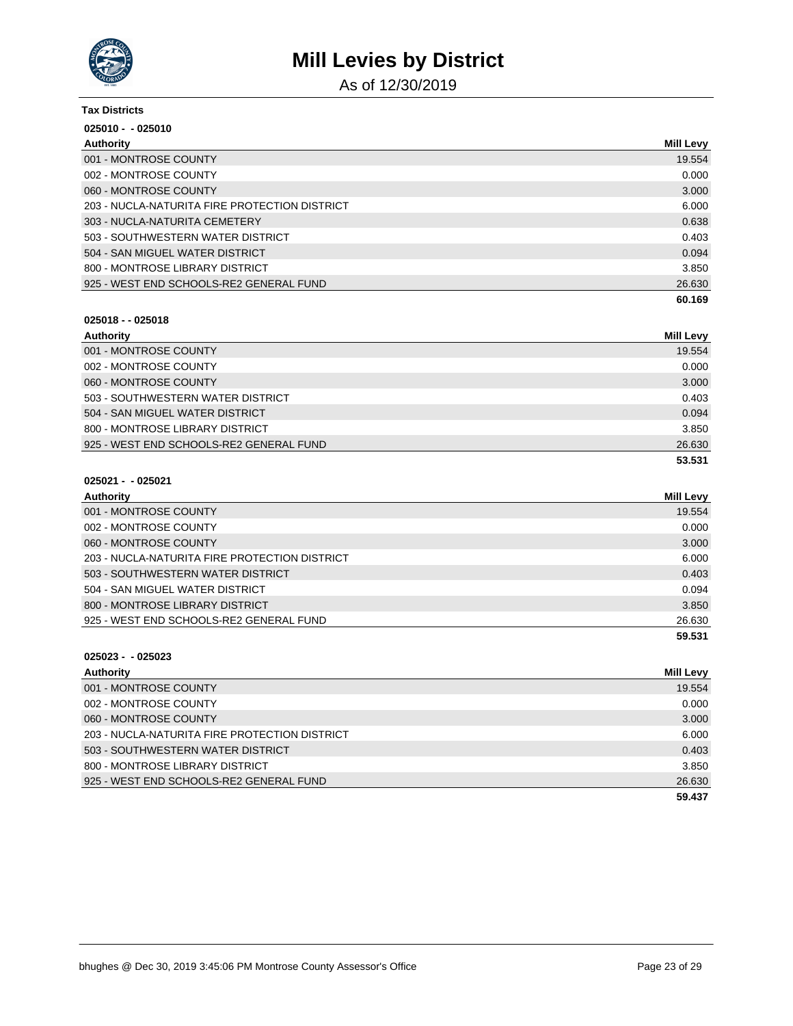

As of 12/30/2019

| <b>Tax Districts</b>                          |                  |
|-----------------------------------------------|------------------|
| $025010 - 025010$                             |                  |
| Authority                                     | <b>Mill Levy</b> |
| 001 - MONTROSE COUNTY                         | 19.554           |
| 002 - MONTROSE COUNTY                         | 0.000            |
| 060 - MONTROSE COUNTY                         | 3.000            |
| 203 - NUCLA-NATURITA FIRE PROTECTION DISTRICT | 6.000            |
| 303 - NUCLA-NATURITA CEMETERY                 | 0.638            |
| 503 - SOUTHWESTERN WATER DISTRICT             | 0.403            |
| 504 - SAN MIGUEL WATER DISTRICT               | 0.094            |
| 800 - MONTROSE LIBRARY DISTRICT               | 3.850            |
| 925 - WEST END SCHOOLS-RE2 GENERAL FUND       | 26.630           |
|                                               | 60.169           |

### **025018 - - 025018**

| Authority                               | <b>Mill Levy</b> |
|-----------------------------------------|------------------|
| 001 - MONTROSE COUNTY                   | 19.554           |
| 002 - MONTROSE COUNTY                   | 0.000            |
| 060 - MONTROSE COUNTY                   | 3.000            |
| 503 - SOUTHWESTERN WATER DISTRICT       | 0.403            |
| 504 - SAN MIGUEL WATER DISTRICT         | 0.094            |
| 800 - MONTROSE LIBRARY DISTRICT         | 3.850            |
| 925 - WEST END SCHOOLS-RE2 GENERAL FUND | 26.630           |
|                                         | 53.531           |

### **025021 - - 025021**

| Authority                                     | <b>Mill Levy</b> |
|-----------------------------------------------|------------------|
| 001 - MONTROSE COUNTY                         | 19.554           |
| 002 - MONTROSE COUNTY                         | 0.000            |
| 060 - MONTROSE COUNTY                         | 3.000            |
| 203 - NUCLA-NATURITA FIRE PROTECTION DISTRICT | 6.000            |
| 503 - SOUTHWESTERN WATER DISTRICT             | 0.403            |
| 504 - SAN MIGUEL WATER DISTRICT               | 0.094            |
| 800 - MONTROSE LIBRARY DISTRICT               | 3.850            |
| 925 - WEST END SCHOOLS-RE2 GENERAL FUND       | 26.630           |
|                                               | 59.531           |

| Authority                                     | <b>Mill Levy</b> |
|-----------------------------------------------|------------------|
| 001 - MONTROSE COUNTY                         | 19.554           |
| 002 - MONTROSE COUNTY                         | 0.000            |
| 060 - MONTROSE COUNTY                         | 3.000            |
| 203 - NUCLA-NATURITA FIRE PROTECTION DISTRICT | 6.000            |
| 503 - SOUTHWESTERN WATER DISTRICT             | 0.403            |
| 800 - MONTROSE LIBRARY DISTRICT               | 3.850            |
| 925 - WEST END SCHOOLS-RE2 GENERAL FUND       | 26.630           |
|                                               | 59.437           |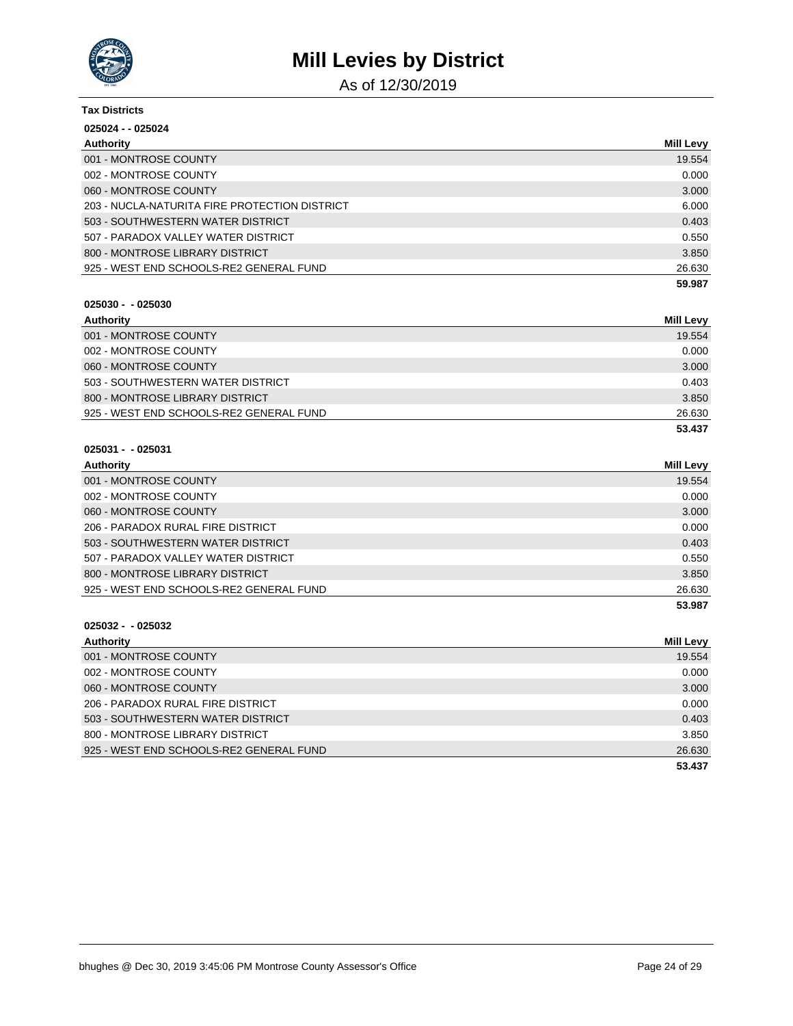

As of 12/30/2019

| <b>Tax Districts</b>                          |                  |
|-----------------------------------------------|------------------|
| 025024 - - 025024                             |                  |
| Authority                                     | <b>Mill Levy</b> |
| 001 - MONTROSE COUNTY                         | 19.554           |
| 002 - MONTROSE COUNTY                         | 0.000            |
| 060 - MONTROSE COUNTY                         | 3.000            |
| 203 - NUCLA-NATURITA FIRE PROTECTION DISTRICT | 6.000            |
| 503 - SOUTHWESTERN WATER DISTRICT             | 0.403            |
| 507 - PARADOX VALLEY WATER DISTRICT           | 0.550            |
| 800 - MONTROSE LIBRARY DISTRICT               | 3.850            |
| 925 - WEST END SCHOOLS-RE2 GENERAL FUND       | 26.630           |
|                                               | 59.987           |

#### **025030 - - 025030**

| Authority                               | <b>Mill Levy</b> |
|-----------------------------------------|------------------|
| 001 - MONTROSE COUNTY                   | 19.554           |
| 002 - MONTROSE COUNTY                   | 0.000            |
| 060 - MONTROSE COUNTY                   | 3.000            |
| 503 - SOUTHWESTERN WATER DISTRICT       | 0.403            |
| 800 - MONTROSE LIBRARY DISTRICT         | 3.850            |
| 925 - WEST END SCHOOLS-RE2 GENERAL FUND | 26.630           |
|                                         | 53.437           |

### **025031 - - 025031**

| Authority                               | <b>Mill Levy</b> |
|-----------------------------------------|------------------|
| 001 - MONTROSE COUNTY                   | 19.554           |
| 002 - MONTROSE COUNTY                   | 0.000            |
| 060 - MONTROSE COUNTY                   | 3.000            |
| 206 - PARADOX RURAL FIRE DISTRICT       | 0.000            |
| 503 - SOUTHWESTERN WATER DISTRICT       | 0.403            |
| 507 - PARADOX VALLEY WATER DISTRICT     | 0.550            |
| 800 - MONTROSE LIBRARY DISTRICT         | 3.850            |
| 925 - WEST END SCHOOLS-RE2 GENERAL FUND | 26.630           |
|                                         | 53.987           |

| Authority                               | <b>Mill Levy</b> |
|-----------------------------------------|------------------|
| 001 - MONTROSE COUNTY                   | 19.554           |
| 002 - MONTROSE COUNTY                   | 0.000            |
| 060 - MONTROSE COUNTY                   | 3.000            |
| 206 - PARADOX RURAL FIRE DISTRICT       | 0.000            |
| 503 - SOUTHWESTERN WATER DISTRICT       | 0.403            |
| 800 - MONTROSE LIBRARY DISTRICT         | 3.850            |
| 925 - WEST END SCHOOLS-RE2 GENERAL FUND | 26.630           |
|                                         | 53.437           |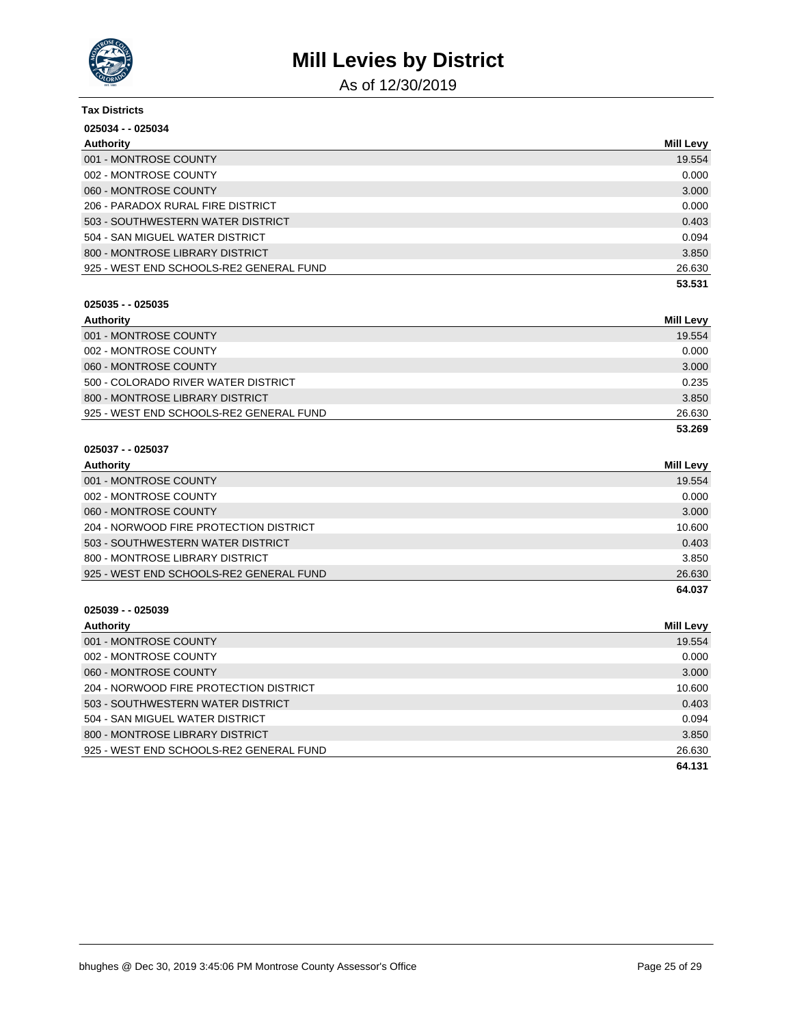

As of 12/30/2019

| <b>Tax Districts</b>                    |                  |
|-----------------------------------------|------------------|
| 025034 - - 025034                       |                  |
| Authority                               | <b>Mill Levy</b> |
| 001 - MONTROSE COUNTY                   | 19.554           |
| 002 - MONTROSE COUNTY                   | 0.000            |
| 060 - MONTROSE COUNTY                   | 3.000            |
| 206 - PARADOX RURAL FIRE DISTRICT       | 0.000            |
| 503 - SOUTHWESTERN WATER DISTRICT       | 0.403            |
| 504 - SAN MIGUEL WATER DISTRICT         | 0.094            |
| 800 - MONTROSE LIBRARY DISTRICT         | 3.850            |
| 925 - WEST END SCHOOLS-RE2 GENERAL FUND | 26.630           |
|                                         | 53.531           |

#### **025035 - - 025035**

| Authority                               | Mill Levy |
|-----------------------------------------|-----------|
| 001 - MONTROSE COUNTY                   | 19.554    |
| 002 - MONTROSE COUNTY                   | 0.000     |
| 060 - MONTROSE COUNTY                   | 3.000     |
| 500 - COLORADO RIVER WATER DISTRICT     | 0.235     |
| 800 - MONTROSE LIBRARY DISTRICT         | 3.850     |
| 925 - WEST END SCHOOLS-RE2 GENERAL FUND | 26.630    |
|                                         | 53.269    |

# **025037 - - 025037**

| Authority                               | <b>Mill Levy</b> |
|-----------------------------------------|------------------|
| 001 - MONTROSE COUNTY                   | 19.554           |
| 002 - MONTROSE COUNTY                   | 0.000            |
| 060 - MONTROSE COUNTY                   | 3.000            |
| 204 - NORWOOD FIRE PROTECTION DISTRICT  | 10.600           |
| 503 - SOUTHWESTERN WATER DISTRICT       | 0.403            |
| 800 - MONTROSE LIBRARY DISTRICT         | 3.850            |
| 925 - WEST END SCHOOLS-RE2 GENERAL FUND | 26.630           |
|                                         | 64.037           |

| Authority                               | <b>Mill Levy</b> |
|-----------------------------------------|------------------|
| 001 - MONTROSE COUNTY                   | 19.554           |
| 002 - MONTROSE COUNTY                   | 0.000            |
| 060 - MONTROSE COUNTY                   | 3.000            |
| 204 - NORWOOD FIRE PROTECTION DISTRICT  | 10.600           |
| 503 - SOUTHWESTERN WATER DISTRICT       | 0.403            |
| 504 - SAN MIGUEL WATER DISTRICT         | 0.094            |
| 800 - MONTROSE LIBRARY DISTRICT         | 3.850            |
| 925 - WEST END SCHOOLS-RE2 GENERAL FUND | 26.630           |
|                                         | 64.131           |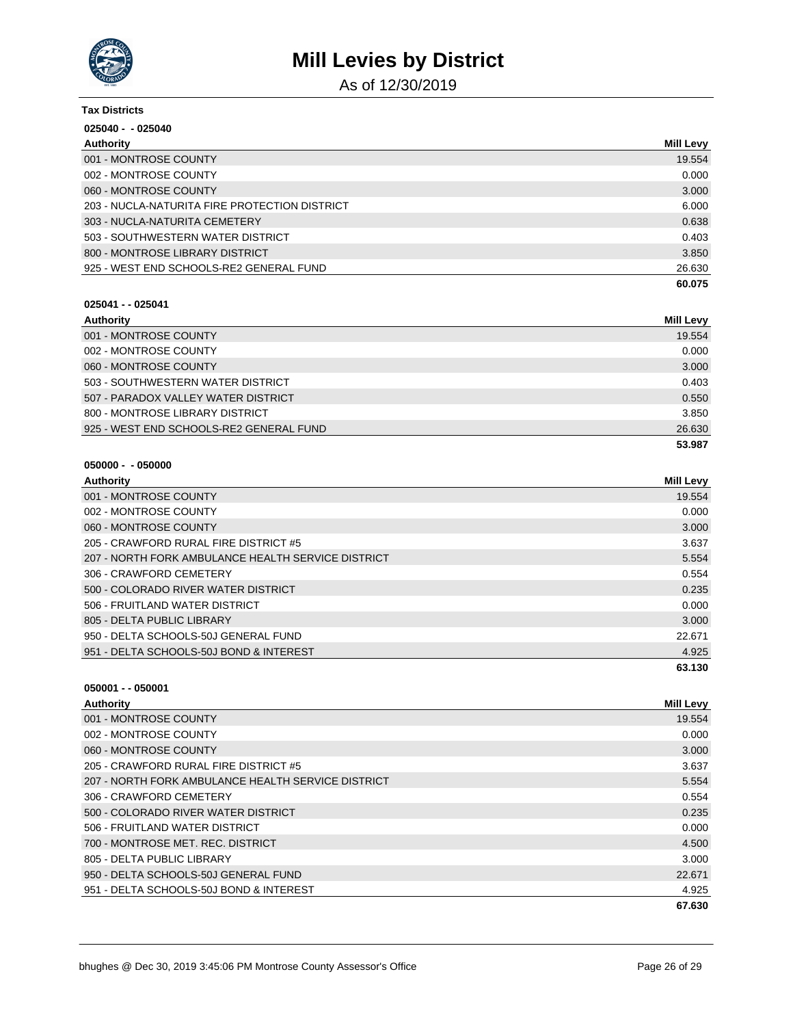

As of 12/30/2019

| <b>Tax Districts</b>                          |                  |
|-----------------------------------------------|------------------|
| $025040 - 025040$                             |                  |
| Authority                                     | <b>Mill Levy</b> |
| 001 - MONTROSE COUNTY                         | 19.554           |
| 002 - MONTROSE COUNTY                         | 0.000            |
| 060 - MONTROSE COUNTY                         | 3.000            |
| 203 - NUCLA-NATURITA FIRE PROTECTION DISTRICT | 6.000            |
| 303 - NUCLA-NATURITA CEMETERY                 | 0.638            |
| 503 - SOUTHWESTERN WATER DISTRICT             | 0.403            |
| 800 - MONTROSE LIBRARY DISTRICT               | 3.850            |
| 925 - WEST END SCHOOLS-RE2 GENERAL FUND       | 26.630           |
|                                               | 60.075           |

#### **025041 - - 025041**

| Authority                               | Mill Levy |
|-----------------------------------------|-----------|
| 001 - MONTROSE COUNTY                   | 19.554    |
| 002 - MONTROSE COUNTY                   | 0.000     |
| 060 - MONTROSE COUNTY                   | 3.000     |
| 503 - SOUTHWESTERN WATER DISTRICT       | 0.403     |
| 507 - PARADOX VALLEY WATER DISTRICT     | 0.550     |
| 800 - MONTROSE LIBRARY DISTRICT         | 3.850     |
| 925 - WEST END SCHOOLS-RE2 GENERAL FUND | 26.630    |
|                                         | 53.987    |

### **050000 - - 050000**

| Authority                                          | <b>Mill Levy</b> |
|----------------------------------------------------|------------------|
| 001 - MONTROSE COUNTY                              | 19.554           |
| 002 - MONTROSE COUNTY                              | 0.000            |
| 060 - MONTROSE COUNTY                              | 3.000            |
| 205 - CRAWFORD RURAL FIRE DISTRICT #5              | 3.637            |
| 207 - NORTH FORK AMBULANCE HEALTH SERVICE DISTRICT | 5.554            |
| 306 - CRAWFORD CEMETERY                            | 0.554            |
| 500 - COLORADO RIVER WATER DISTRICT                | 0.235            |
| 506 - FRUITLAND WATER DISTRICT                     | 0.000            |
| 805 - DELTA PUBLIC LIBRARY                         | 3.000            |
| 950 - DELTA SCHOOLS-50J GENERAL FUND               | 22.671           |
| 951 - DELTA SCHOOLS-50J BOND & INTEREST            | 4.925            |
|                                                    | 63.130           |

| Authority                                          | <b>Mill Levy</b> |
|----------------------------------------------------|------------------|
| 001 - MONTROSE COUNTY                              | 19.554           |
| 002 - MONTROSE COUNTY                              | 0.000            |
| 060 - MONTROSE COUNTY                              | 3.000            |
| 205 - CRAWFORD RURAL FIRE DISTRICT #5              | 3.637            |
| 207 - NORTH FORK AMBULANCE HEALTH SERVICE DISTRICT | 5.554            |
| 306 - CRAWFORD CEMETERY                            | 0.554            |
| 500 - COLORADO RIVER WATER DISTRICT                | 0.235            |
| 506 - FRUITLAND WATER DISTRICT                     | 0.000            |
| 700 - MONTROSE MET. REC. DISTRICT                  | 4.500            |
| 805 - DELTA PUBLIC LIBRARY                         | 3.000            |
| 950 - DELTA SCHOOLS-50J GENERAL FUND               | 22.671           |
| 951 - DELTA SCHOOLS-50J BOND & INTEREST            | 4.925            |
|                                                    | 67.630           |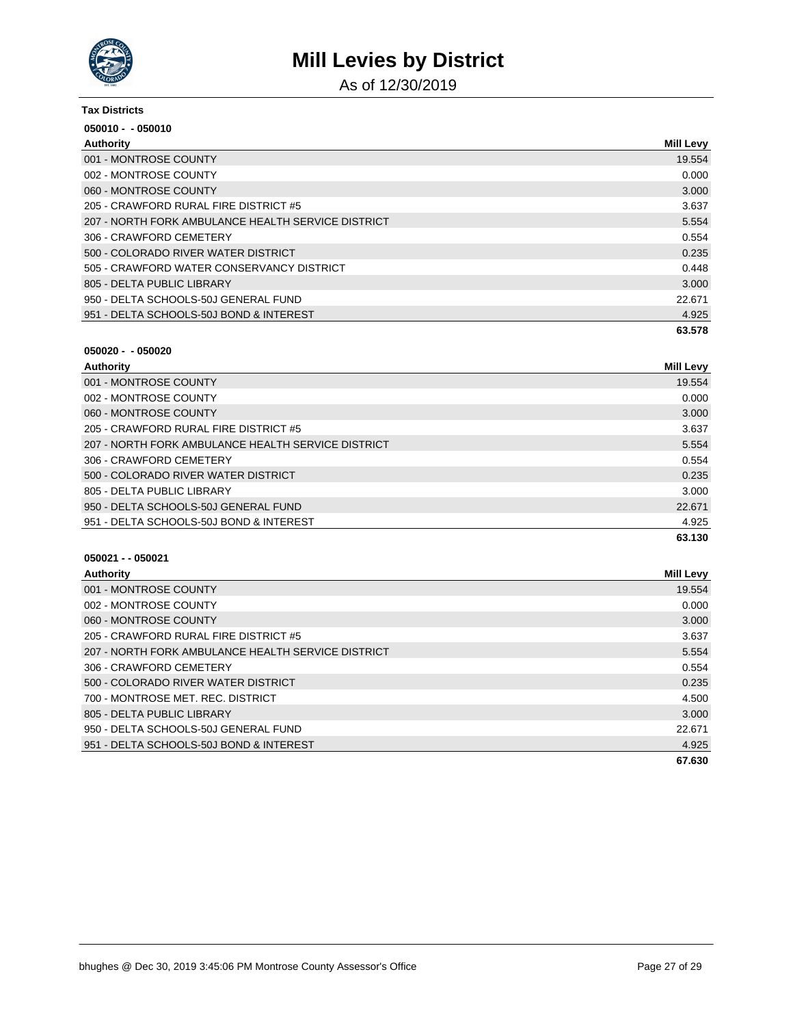

As of 12/30/2019

| <b>Tax Districts</b>                               |                  |
|----------------------------------------------------|------------------|
| $050010 - 050010$                                  |                  |
| Authority                                          | <b>Mill Levy</b> |
| 001 - MONTROSE COUNTY                              | 19.554           |
| 002 - MONTROSE COUNTY                              | 0.000            |
| 060 - MONTROSE COUNTY                              | 3.000            |
| 205 - CRAWFORD RURAL FIRE DISTRICT #5              | 3.637            |
| 207 - NORTH FORK AMBULANCE HEALTH SERVICE DISTRICT | 5.554            |
| 306 - CRAWFORD CEMETERY                            | 0.554            |
| 500 - COLORADO RIVER WATER DISTRICT                | 0.235            |
| 505 - CRAWFORD WATER CONSERVANCY DISTRICT          | 0.448            |
| 805 - DELTA PUBLIC LIBRARY                         | 3.000            |
| 950 - DELTA SCHOOLS-50J GENERAL FUND               | 22.671           |
| 951 - DELTA SCHOOLS-50J BOND & INTEREST            | 4.925            |
|                                                    | 63.578           |

| Authority                                          | <b>Mill Levy</b> |
|----------------------------------------------------|------------------|
| 001 - MONTROSE COUNTY                              | 19.554           |
| 002 - MONTROSE COUNTY                              | 0.000            |
| 060 - MONTROSE COUNTY                              | 3.000            |
| 205 - CRAWFORD RURAL FIRE DISTRICT #5              | 3.637            |
| 207 - NORTH FORK AMBULANCE HEALTH SERVICE DISTRICT | 5.554            |
| 306 - CRAWFORD CEMETERY                            | 0.554            |
| 500 - COLORADO RIVER WATER DISTRICT                | 0.235            |
| 805 - DELTA PUBLIC LIBRARY                         | 3.000            |
| 950 - DELTA SCHOOLS-50J GENERAL FUND               | 22.671           |
| 951 - DELTA SCHOOLS-50J BOND & INTEREST            | 4.925            |
|                                                    | 63.130           |

| <b>Mill Levy</b> |
|------------------|
| 19.554           |
| 0.000            |
| 3.000            |
| 3.637            |
| 5.554            |
| 0.554            |
| 0.235            |
| 4.500            |
| 3.000            |
| 22.671           |
| 4.925            |
| 67.630           |
|                  |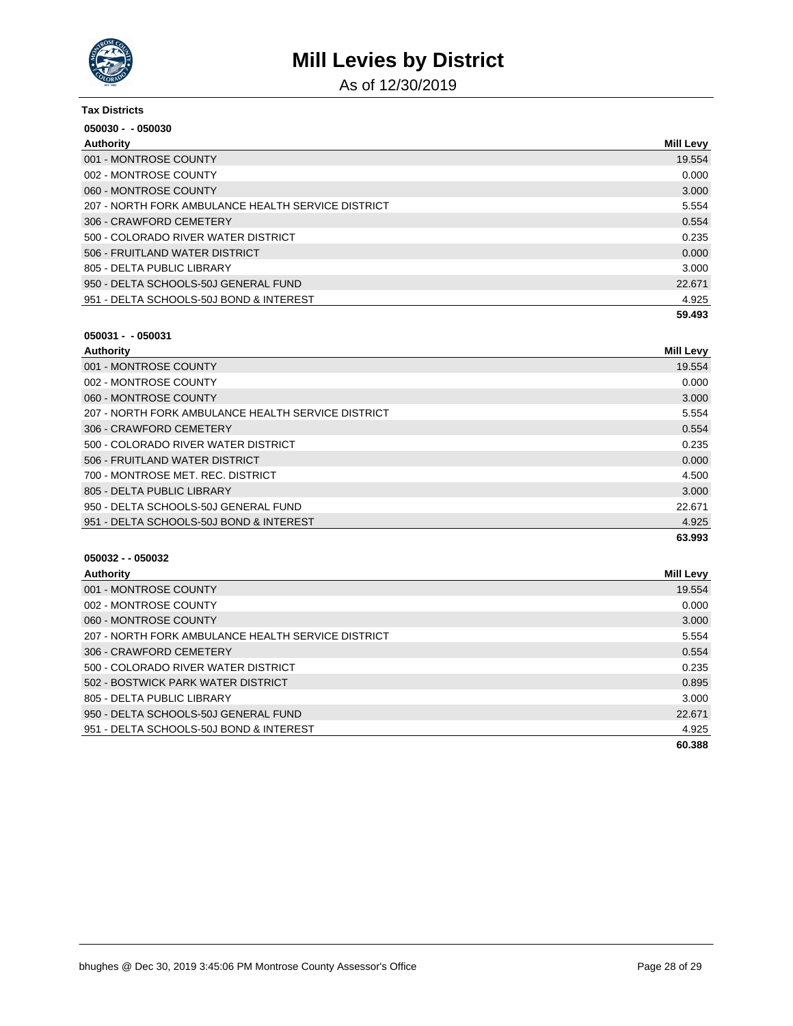

As of 12/30/2019

| <b>Tax Districts</b>                               |                  |
|----------------------------------------------------|------------------|
| $050030 - 050030$                                  |                  |
| Authority                                          | <b>Mill Levy</b> |
| 001 - MONTROSE COUNTY                              | 19.554           |
| 002 - MONTROSE COUNTY                              | 0.000            |
| 060 - MONTROSE COUNTY                              | 3.000            |
| 207 - NORTH FORK AMBULANCE HEALTH SERVICE DISTRICT | 5.554            |
| 306 - CRAWFORD CEMETERY                            | 0.554            |
| 500 - COLORADO RIVER WATER DISTRICT                | 0.235            |
| 506 - FRUITLAND WATER DISTRICT                     | 0.000            |
| 805 - DELTA PUBLIC LIBRARY                         | 3.000            |
| 950 - DELTA SCHOOLS-50J GENERAL FUND               | 22.671           |
| 951 - DELTA SCHOOLS-50J BOND & INTEREST            | 4.925            |
|                                                    | 59.493           |

### **050031 - - 050031**

| Authority                                          | Mill Levy |
|----------------------------------------------------|-----------|
| 001 - MONTROSE COUNTY                              | 19.554    |
| 002 - MONTROSE COUNTY                              | 0.000     |
| 060 - MONTROSE COUNTY                              | 3.000     |
| 207 - NORTH FORK AMBULANCE HEALTH SERVICE DISTRICT | 5.554     |
| 306 - CRAWFORD CEMETERY                            | 0.554     |
| 500 - COLORADO RIVER WATER DISTRICT                | 0.235     |
| 506 - FRUITLAND WATER DISTRICT                     | 0.000     |
| 700 - MONTROSE MET. REC. DISTRICT                  | 4.500     |
| 805 - DELTA PUBLIC LIBRARY                         | 3.000     |
| 950 - DELTA SCHOOLS-50J GENERAL FUND               | 22.671    |
| 951 - DELTA SCHOOLS-50J BOND & INTEREST            | 4.925     |
|                                                    | 63.993    |

| Authority                                          | Mill Levy |
|----------------------------------------------------|-----------|
| 001 - MONTROSE COUNTY                              | 19.554    |
| 002 - MONTROSE COUNTY                              | 0.000     |
| 060 - MONTROSE COUNTY                              | 3.000     |
| 207 - NORTH FORK AMBULANCE HEALTH SERVICE DISTRICT | 5.554     |
| 306 - CRAWFORD CEMETERY                            | 0.554     |
| 500 - COLORADO RIVER WATER DISTRICT                | 0.235     |
| 502 - BOSTWICK PARK WATER DISTRICT                 | 0.895     |
| 805 - DELTA PUBLIC LIBRARY                         | 3.000     |
| 950 - DELTA SCHOOLS-50J GENERAL FUND               | 22.671    |
| 951 - DELTA SCHOOLS-50J BOND & INTEREST            | 4.925     |
|                                                    | 60.388    |